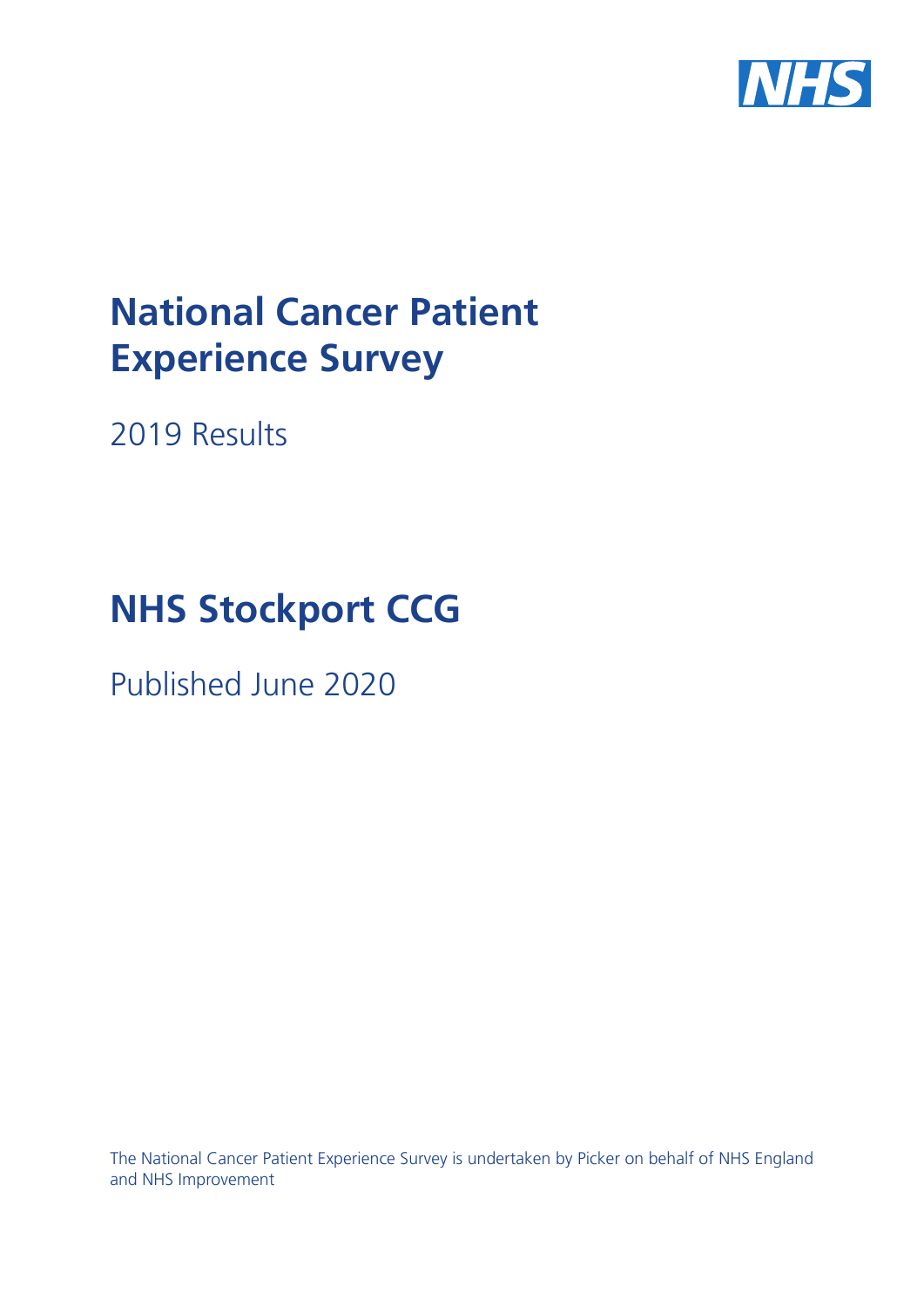

# **National Cancer Patient Experience Survey**

2019 Results

# **NHS Stockport CCG**

Published June 2020

The National Cancer Patient Experience Survey is undertaken by Picker on behalf of NHS England and NHS Improvement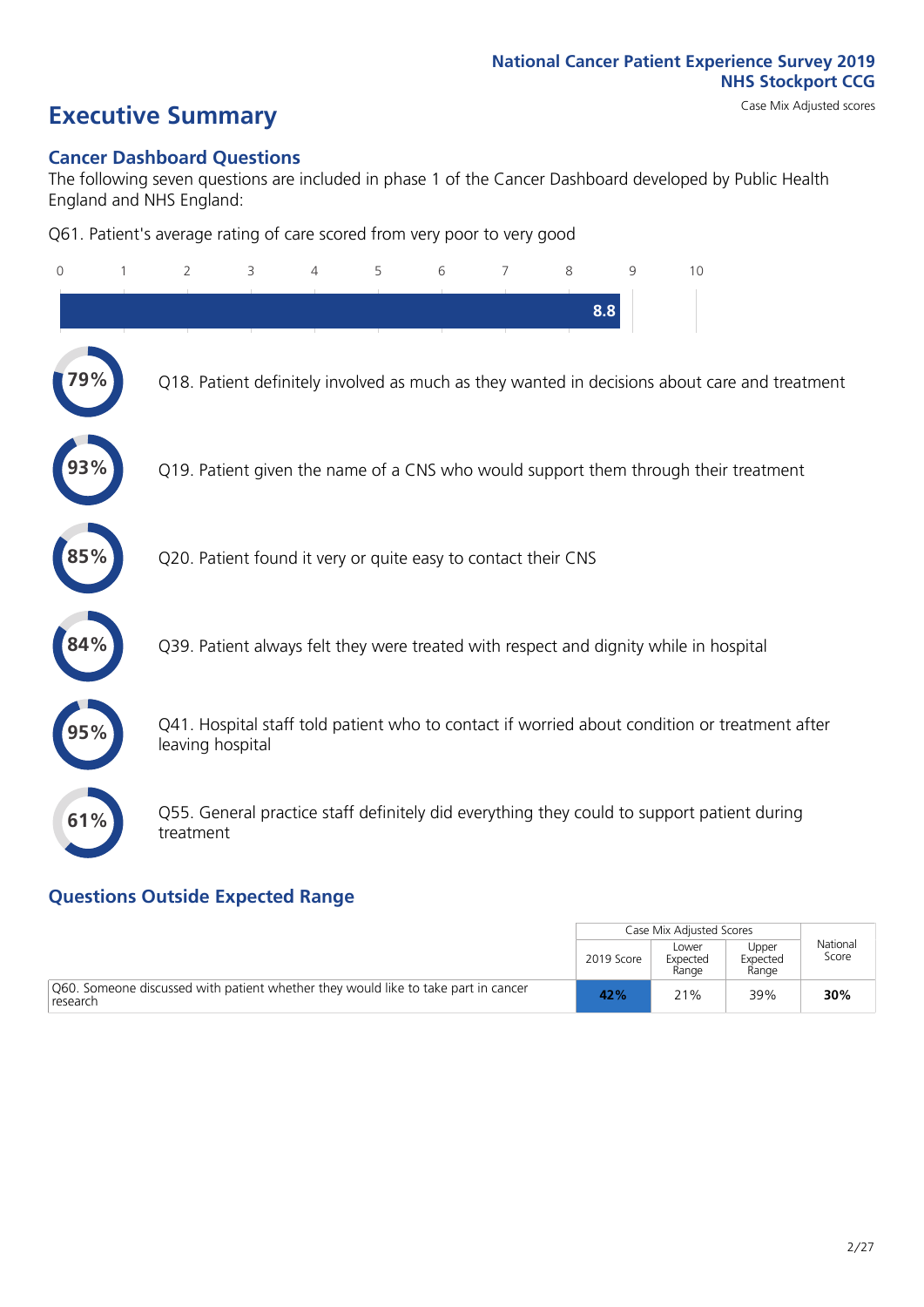# **Executive Summary** Case Mix Adjusted scores

### **Cancer Dashboard Questions**

The following seven questions are included in phase 1 of the Cancer Dashboard developed by Public Health England and NHS England:

Q61. Patient's average rating of care scored from very poor to very good

| $\mathbf{0}$ | $\overline{2}$                                                | 3 | 4 | 5 | 6 | 7 | 8   | 9 | 10                                                                                            |
|--------------|---------------------------------------------------------------|---|---|---|---|---|-----|---|-----------------------------------------------------------------------------------------------|
|              |                                                               |   |   |   |   |   | 8.8 |   |                                                                                               |
|              |                                                               |   |   |   |   |   |     |   | Q18. Patient definitely involved as much as they wanted in decisions about care and treatment |
|              |                                                               |   |   |   |   |   |     |   | Q19. Patient given the name of a CNS who would support them through their treatment           |
| 85%          | Q20. Patient found it very or quite easy to contact their CNS |   |   |   |   |   |     |   |                                                                                               |
|              |                                                               |   |   |   |   |   |     |   | Q39. Patient always felt they were treated with respect and dignity while in hospital         |
|              | leaving hospital                                              |   |   |   |   |   |     |   | Q41. Hospital staff told patient who to contact if worried about condition or treatment after |
| 61%          | treatment                                                     |   |   |   |   |   |     |   | Q55. General practice staff definitely did everything they could to support patient during    |

### **Questions Outside Expected Range**

|                                                                                                |            | Case Mix Adjusted Scores   |                            |                   |
|------------------------------------------------------------------------------------------------|------------|----------------------------|----------------------------|-------------------|
|                                                                                                | 2019 Score | Lower<br>Expected<br>Range | Upper<br>Expected<br>Range | National<br>Score |
| Q60. Someone discussed with patient whether they would like to take part in cancer<br>research | 42%        | 21%                        | 39%                        | 30%               |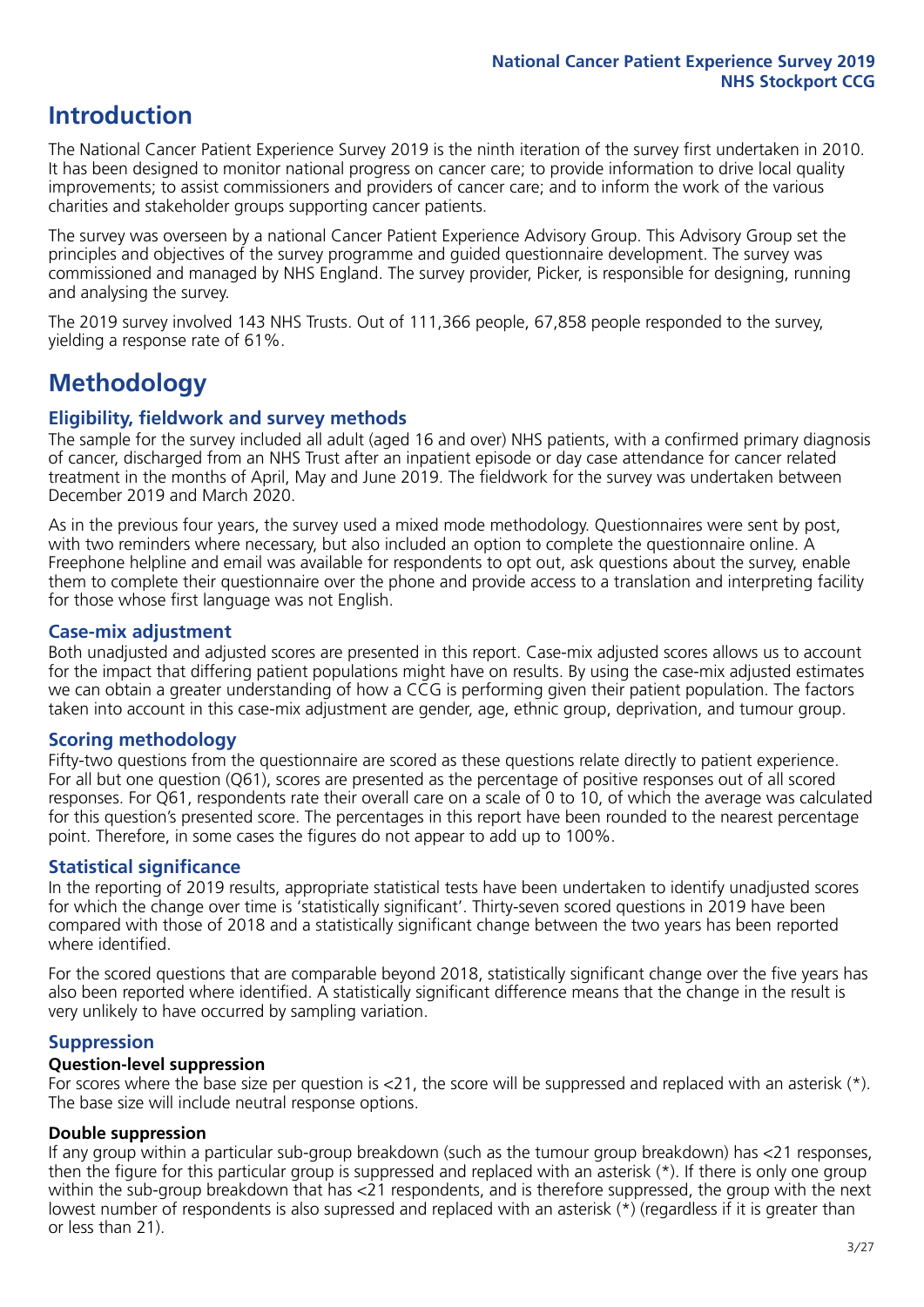### **Introduction**

The National Cancer Patient Experience Survey 2019 is the ninth iteration of the survey first undertaken in 2010. It has been designed to monitor national progress on cancer care; to provide information to drive local quality improvements; to assist commissioners and providers of cancer care; and to inform the work of the various charities and stakeholder groups supporting cancer patients.

The survey was overseen by a national Cancer Patient Experience Advisory Group. This Advisory Group set the principles and objectives of the survey programme and guided questionnaire development. The survey was commissioned and managed by NHS England. The survey provider, Picker, is responsible for designing, running and analysing the survey.

The 2019 survey involved 143 NHS Trusts. Out of 111,366 people, 67,858 people responded to the survey, yielding a response rate of 61%.

### **Methodology**

### **Eligibility, eldwork and survey methods**

The sample for the survey included all adult (aged 16 and over) NHS patients, with a confirmed primary diagnosis of cancer, discharged from an NHS Trust after an inpatient episode or day case attendance for cancer related treatment in the months of April, May and June 2019. The fieldwork for the survey was undertaken between December 2019 and March 2020.

As in the previous four years, the survey used a mixed mode methodology. Questionnaires were sent by post, with two reminders where necessary, but also included an option to complete the questionnaire online. A Freephone helpline and email was available for respondents to opt out, ask questions about the survey, enable them to complete their questionnaire over the phone and provide access to a translation and interpreting facility for those whose first language was not English.

### **Case-mix adjustment**

Both unadjusted and adjusted scores are presented in this report. Case-mix adjusted scores allows us to account for the impact that differing patient populations might have on results. By using the case-mix adjusted estimates we can obtain a greater understanding of how a CCG is performing given their patient population. The factors taken into account in this case-mix adjustment are gender, age, ethnic group, deprivation, and tumour group.

### **Scoring methodology**

Fifty-two questions from the questionnaire are scored as these questions relate directly to patient experience. For all but one question (Q61), scores are presented as the percentage of positive responses out of all scored responses. For Q61, respondents rate their overall care on a scale of 0 to 10, of which the average was calculated for this question's presented score. The percentages in this report have been rounded to the nearest percentage point. Therefore, in some cases the figures do not appear to add up to 100%.

### **Statistical significance**

In the reporting of 2019 results, appropriate statistical tests have been undertaken to identify unadjusted scores for which the change over time is 'statistically significant'. Thirty-seven scored questions in 2019 have been compared with those of 2018 and a statistically significant change between the two years has been reported where identified.

For the scored questions that are comparable beyond 2018, statistically significant change over the five years has also been reported where identified. A statistically significant difference means that the change in the result is very unlikely to have occurred by sampling variation.

### **Suppression**

### **Question-level suppression**

For scores where the base size per question is  $<$ 21, the score will be suppressed and replaced with an asterisk (\*). The base size will include neutral response options.

### **Double suppression**

If any group within a particular sub-group breakdown (such as the tumour group breakdown) has <21 responses, then the figure for this particular group is suppressed and replaced with an asterisk (\*). If there is only one group within the sub-group breakdown that has <21 respondents, and is therefore suppressed, the group with the next lowest number of respondents is also supressed and replaced with an asterisk (\*) (regardless if it is greater than or less than 21).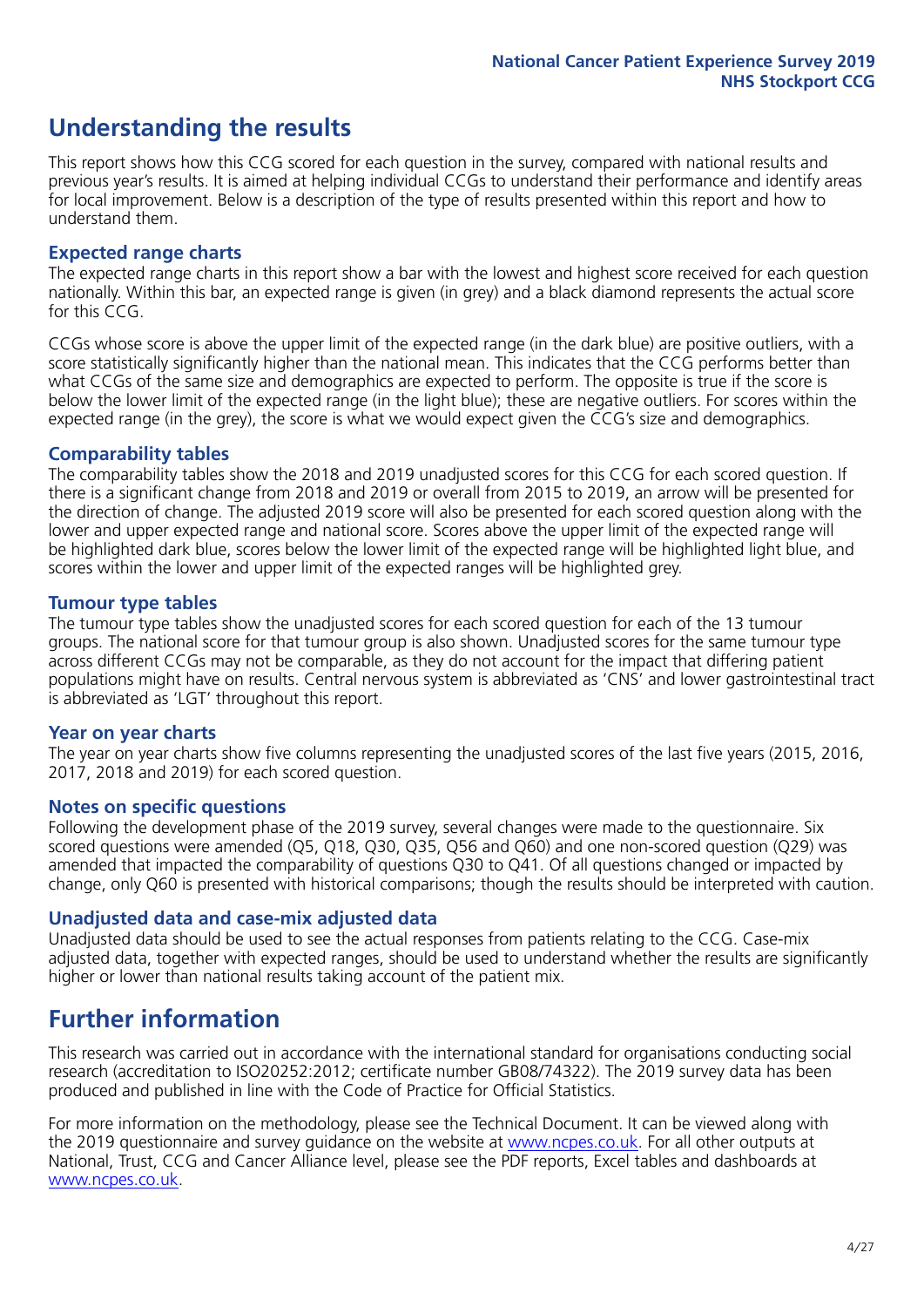### **Understanding the results**

This report shows how this CCG scored for each question in the survey, compared with national results and previous year's results. It is aimed at helping individual CCGs to understand their performance and identify areas for local improvement. Below is a description of the type of results presented within this report and how to understand them.

### **Expected range charts**

The expected range charts in this report show a bar with the lowest and highest score received for each question nationally. Within this bar, an expected range is given (in grey) and a black diamond represents the actual score for this CCG.

CCGs whose score is above the upper limit of the expected range (in the dark blue) are positive outliers, with a score statistically significantly higher than the national mean. This indicates that the CCG performs better than what CCGs of the same size and demographics are expected to perform. The opposite is true if the score is below the lower limit of the expected range (in the light blue); these are negative outliers. For scores within the expected range (in the grey), the score is what we would expect given the CCG's size and demographics.

### **Comparability tables**

The comparability tables show the 2018 and 2019 unadjusted scores for this CCG for each scored question. If there is a significant change from 2018 and 2019 or overall from 2015 to 2019, an arrow will be presented for the direction of change. The adjusted 2019 score will also be presented for each scored question along with the lower and upper expected range and national score. Scores above the upper limit of the expected range will be highlighted dark blue, scores below the lower limit of the expected range will be highlighted light blue, and scores within the lower and upper limit of the expected ranges will be highlighted grey.

### **Tumour type tables**

The tumour type tables show the unadjusted scores for each scored question for each of the 13 tumour groups. The national score for that tumour group is also shown. Unadjusted scores for the same tumour type across different CCGs may not be comparable, as they do not account for the impact that differing patient populations might have on results. Central nervous system is abbreviated as 'CNS' and lower gastrointestinal tract is abbreviated as 'LGT' throughout this report.

### **Year on year charts**

The year on year charts show five columns representing the unadjusted scores of the last five years (2015, 2016, 2017, 2018 and 2019) for each scored question.

#### **Notes on specific questions**

Following the development phase of the 2019 survey, several changes were made to the questionnaire. Six scored questions were amended (Q5, Q18, Q30, Q35, Q56 and Q60) and one non-scored question (Q29) was amended that impacted the comparability of questions Q30 to Q41. Of all questions changed or impacted by change, only Q60 is presented with historical comparisons; though the results should be interpreted with caution.

### **Unadjusted data and case-mix adjusted data**

Unadjusted data should be used to see the actual responses from patients relating to the CCG. Case-mix adjusted data, together with expected ranges, should be used to understand whether the results are significantly higher or lower than national results taking account of the patient mix.

### **Further information**

This research was carried out in accordance with the international standard for organisations conducting social research (accreditation to ISO20252:2012; certificate number GB08/74322). The 2019 survey data has been produced and published in line with the Code of Practice for Official Statistics.

For more information on the methodology, please see the Technical Document. It can be viewed along with the 2019 questionnaire and survey quidance on the website at [www.ncpes.co.uk](https://www.ncpes.co.uk/supporting-documents). For all other outputs at National, Trust, CCG and Cancer Alliance level, please see the PDF reports, Excel tables and dashboards at [www.ncpes.co.uk.](https://www.ncpes.co.uk/current-results)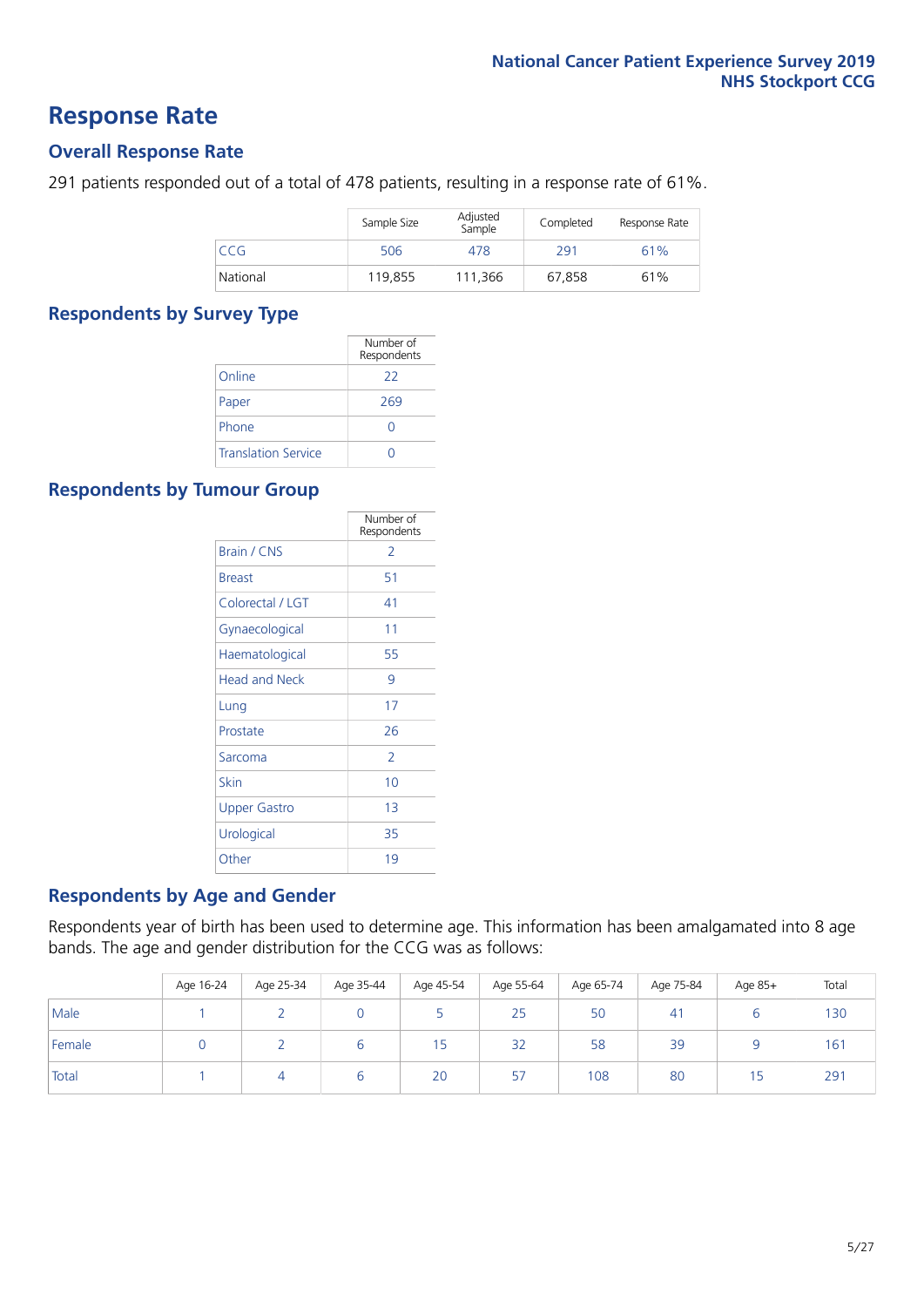### **Response Rate**

### **Overall Response Rate**

291 patients responded out of a total of 478 patients, resulting in a response rate of 61%.

|          | Sample Size | Adjusted<br>Sample | Completed | Response Rate |
|----------|-------------|--------------------|-----------|---------------|
| CCG.     | 506         | 478                | 291       | 61%           |
| National | 119.855     | 111.366            | 67.858    | 61%           |

### **Respondents by Survey Type**

|                            | Number of<br>Respondents |
|----------------------------|--------------------------|
| Online                     | 22                       |
| Paper                      | 269                      |
| Phone                      |                          |
| <b>Translation Service</b> |                          |

### **Respondents by Tumour Group**

|                      | Number of<br>Respondents |
|----------------------|--------------------------|
| Brain / CNS          | 2                        |
| <b>Breast</b>        | 51                       |
| Colorectal / LGT     | 41                       |
| Gynaecological       | 11                       |
| Haematological       | 55                       |
| <b>Head and Neck</b> | 9                        |
| Lung                 | 17                       |
| Prostate             | 26                       |
| Sarcoma              | $\mathcal{P}$            |
| Skin                 | 10                       |
| Upper Gastro         | 1 <sub>3</sub>           |
| Urological           | 35                       |
| Other                | 19                       |

### **Respondents by Age and Gender**

Respondents year of birth has been used to determine age. This information has been amalgamated into 8 age bands. The age and gender distribution for the CCG was as follows:

|        | Age 16-24 | Age 25-34 | Age 35-44 | Age 45-54 | Age 55-64 | Age 65-74 | Age 75-84      | Age 85+ | Total |
|--------|-----------|-----------|-----------|-----------|-----------|-----------|----------------|---------|-------|
| Male   |           |           |           |           | 25        | 50        | 4 <sup>1</sup> |         | 130   |
| Female |           |           | ь         | כ ו       | 32        | 58        | 39             |         | 161   |
| Total  |           |           | b         | 20        | 57        | 108       | 80             | 15      | 291   |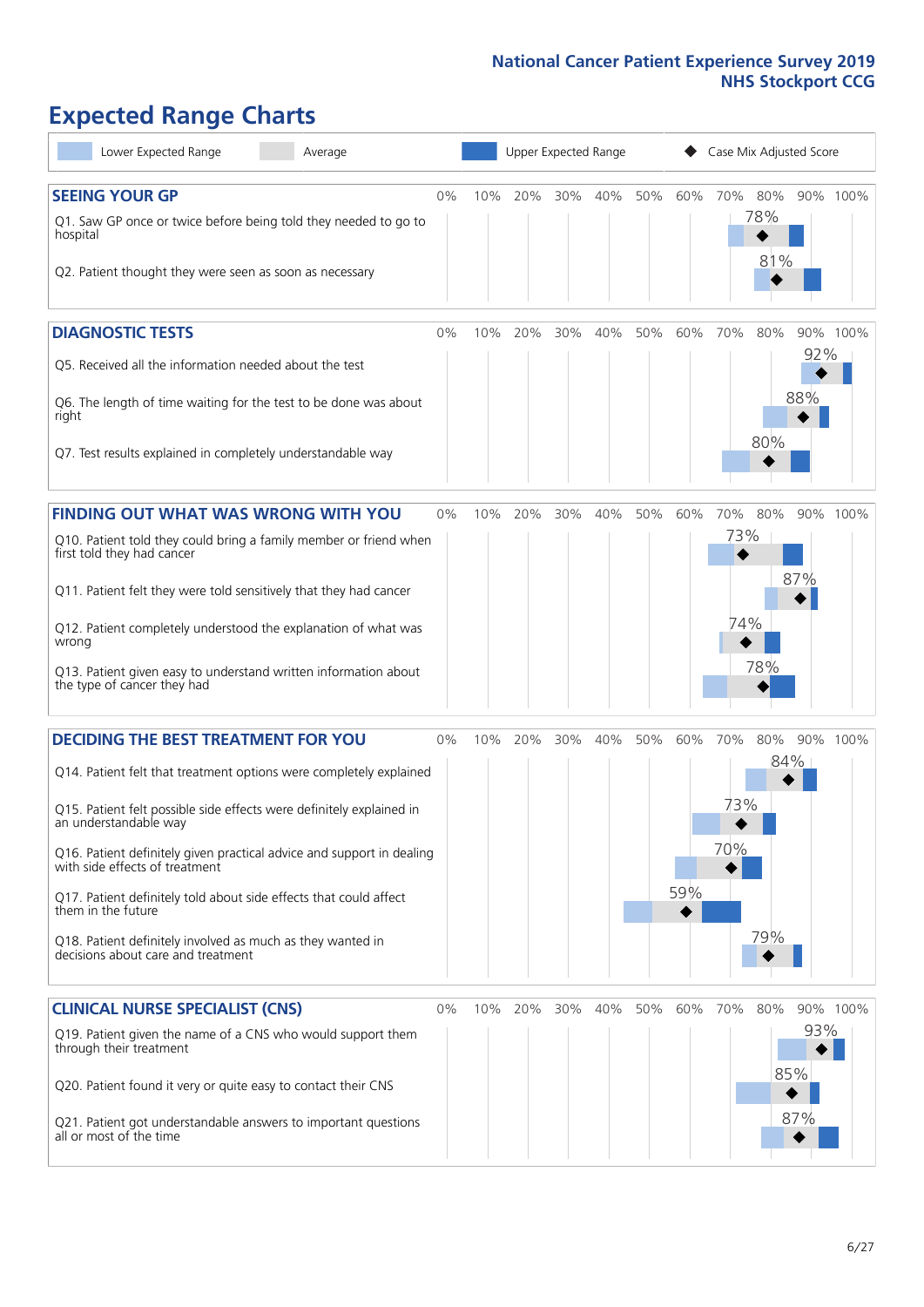# **Expected Range Charts**

| Lower Expected Range<br>Average                                                                                                                                                                                                                                                                                                                                                                                                                                                                                             |       |     | Upper Expected Range |     |     |     |            | Case Mix Adjusted Score |                   |                   |          |
|-----------------------------------------------------------------------------------------------------------------------------------------------------------------------------------------------------------------------------------------------------------------------------------------------------------------------------------------------------------------------------------------------------------------------------------------------------------------------------------------------------------------------------|-------|-----|----------------------|-----|-----|-----|------------|-------------------------|-------------------|-------------------|----------|
| <b>SEEING YOUR GP</b><br>Q1. Saw GP once or twice before being told they needed to go to<br>hospital<br>Q2. Patient thought they were seen as soon as necessary                                                                                                                                                                                                                                                                                                                                                             | $0\%$ | 10% | 20%                  | 30% | 40% | 50% | 60%        | 70%                     | 80%<br>78%<br>81% |                   | 90% 100% |
| <b>DIAGNOSTIC TESTS</b><br>Q5. Received all the information needed about the test<br>Q6. The length of time waiting for the test to be done was about<br>right<br>Q7. Test results explained in completely understandable way                                                                                                                                                                                                                                                                                               | 0%    | 10% | 20%                  | 30% | 40% | 50% | 60%        | 70%                     | 80%<br>80%        | 92%<br>88%        | 90% 100% |
| <b>FINDING OUT WHAT WAS WRONG WITH YOU</b><br>Q10. Patient told they could bring a family member or friend when<br>first told they had cancer<br>Q11. Patient felt they were told sensitively that they had cancer<br>Q12. Patient completely understood the explanation of what was<br>wrong<br>Q13. Patient given easy to understand written information about<br>the type of cancer they had                                                                                                                             | 0%    | 10% | 20%                  | 30% | 40% | 50% | 60%        | 70%<br>73%<br>74%       | 80%<br>78%        | 87%               | 90% 100% |
| <b>DECIDING THE BEST TREATMENT FOR YOU</b><br>Q14. Patient felt that treatment options were completely explained<br>Q15. Patient felt possible side effects were definitely explained in<br>an understandable way<br>Q16. Patient definitely given practical advice and support in dealing<br>with side effects of treatment<br>Q17. Patient definitely told about side effects that could affect<br>them in the future<br>Q18. Patient definitely involved as much as they wanted in<br>decisions about care and treatment | 0%    | 10% | 20%                  | 30% | 40% | 50% | 60%<br>59% | 70%<br>73%<br>70%       | 80%<br>79%        | 84%               | 90% 100% |
| <b>CLINICAL NURSE SPECIALIST (CNS)</b><br>Q19. Patient given the name of a CNS who would support them<br>through their treatment<br>Q20. Patient found it very or quite easy to contact their CNS<br>Q21. Patient got understandable answers to important questions<br>all or most of the time                                                                                                                                                                                                                              | $0\%$ | 10% | 20%                  | 30% | 40% | 50% | 60%        | 70%                     | 80%               | 93%<br>85%<br>87% | 90% 100% |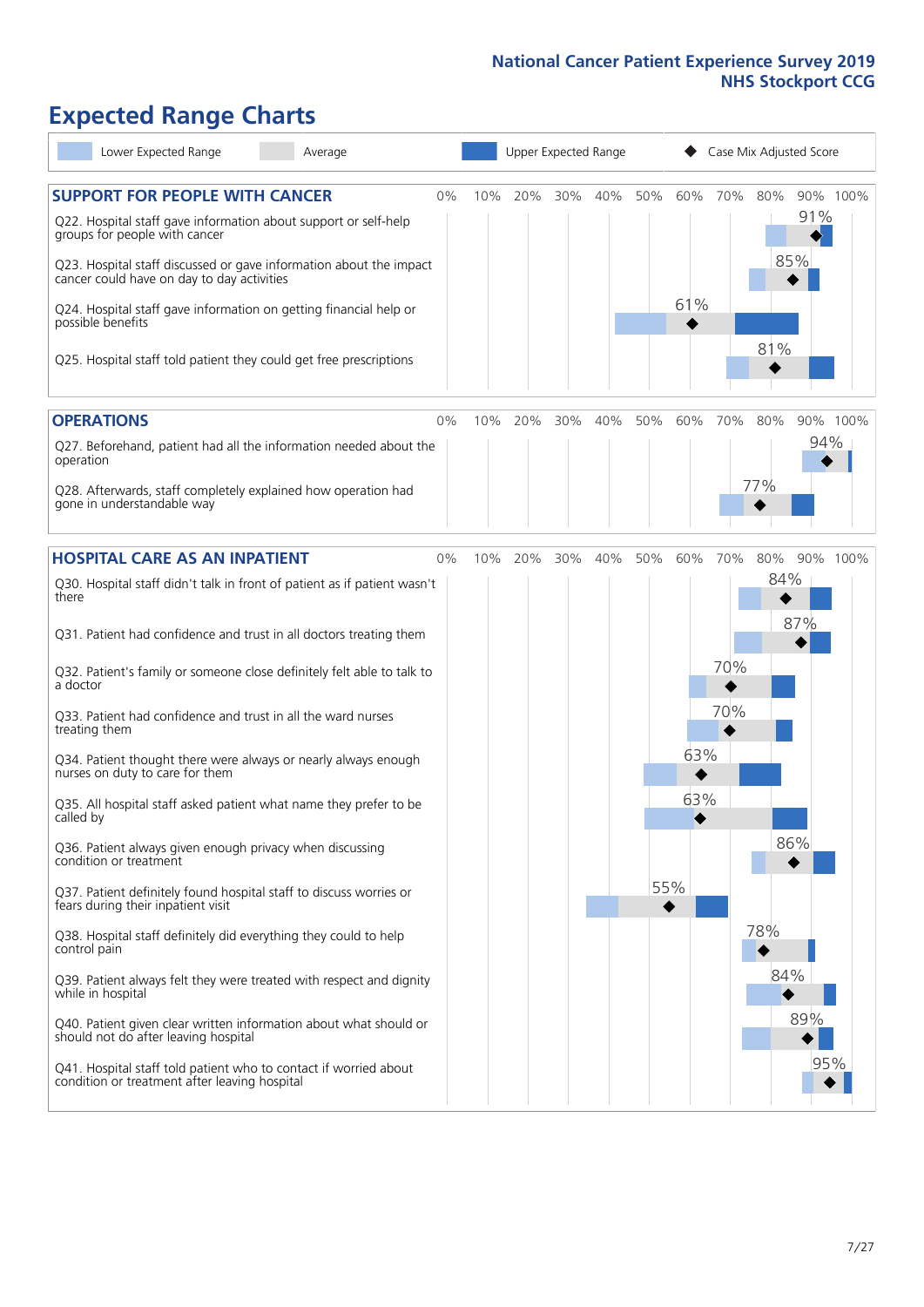# **Expected Range Charts**

| Lower Expected Range<br>Average                                                                                                                                                                                 |    |     |     |     | Upper Expected Range |     |            |     | Case Mix Adjusted Score |            |          |
|-----------------------------------------------------------------------------------------------------------------------------------------------------------------------------------------------------------------|----|-----|-----|-----|----------------------|-----|------------|-----|-------------------------|------------|----------|
| <b>SUPPORT FOR PEOPLE WITH CANCER</b><br>Q22. Hospital staff gave information about support or self-help<br>groups for people with cancer<br>Q23. Hospital staff discussed or gave information about the impact | 0% | 10% | 20% | 30% | 40%                  | 50% | 60%        | 70% | 80%                     | 91%<br>85% | 90% 100% |
| cancer could have on day to day activities<br>Q24. Hospital staff gave information on getting financial help or<br>possible benefits                                                                            |    |     |     |     |                      |     | 61%        |     | 81%                     |            |          |
| Q25. Hospital staff told patient they could get free prescriptions                                                                                                                                              |    |     |     |     |                      |     |            |     |                         |            |          |
| <b>OPERATIONS</b>                                                                                                                                                                                               | 0% | 10% | 20% | 30% | 40%                  | 50% | 60%        | 70% | 80%                     |            | 90% 100% |
| Q27. Beforehand, patient had all the information needed about the<br>operation                                                                                                                                  |    |     |     |     |                      |     |            |     | 77%                     | 94%        |          |
| Q28. Afterwards, staff completely explained how operation had<br>gone in understandable way                                                                                                                     |    |     |     |     |                      |     |            |     |                         |            |          |
| <b>HOSPITAL CARE AS AN INPATIENT</b>                                                                                                                                                                            | 0% | 10% | 20% | 30% | 40%                  | 50% | 60%        | 70% | 80%                     |            | 90% 100% |
| Q30. Hospital staff didn't talk in front of patient as if patient wasn't<br>there                                                                                                                               |    |     |     |     |                      |     |            |     | 84%                     | 87%        |          |
| Q31. Patient had confidence and trust in all doctors treating them                                                                                                                                              |    |     |     |     |                      |     |            |     |                         |            |          |
| Q32. Patient's family or someone close definitely felt able to talk to<br>a doctor                                                                                                                              |    |     |     |     |                      |     |            | 70% |                         |            |          |
| Q33. Patient had confidence and trust in all the ward nurses<br>treating them                                                                                                                                   |    |     |     |     |                      |     |            | 70% |                         |            |          |
| Q34. Patient thought there were always or nearly always enough<br>nurses on duty to care for them                                                                                                               |    |     |     |     |                      |     | 63%<br>63% |     |                         |            |          |
| Q35. All hospital staff asked patient what name they prefer to be<br>called by                                                                                                                                  |    |     |     |     |                      |     |            |     |                         | 86%        |          |
| Q36. Patient always given enough privacy when discussing<br>condition or treatment                                                                                                                              |    |     |     |     |                      |     | 55%        |     |                         |            |          |
| Q37. Patient definitely found hospital staff to discuss worries or<br>fears during their inpatient visit                                                                                                        |    |     |     |     |                      |     |            |     |                         |            |          |
| Q38. Hospital staff definitely did everything they could to help<br>control pain                                                                                                                                |    |     |     |     |                      |     |            |     | 78%                     |            |          |
| Q39. Patient always felt they were treated with respect and dignity<br>while in hospital                                                                                                                        |    |     |     |     |                      |     |            |     | 84%                     |            |          |
| Q40. Patient given clear written information about what should or<br>should not do after leaving hospital                                                                                                       |    |     |     |     |                      |     |            |     |                         | 89%        |          |
| Q41. Hospital staff told patient who to contact if worried about<br>condition or treatment after leaving hospital                                                                                               |    |     |     |     |                      |     |            |     |                         | 95%        |          |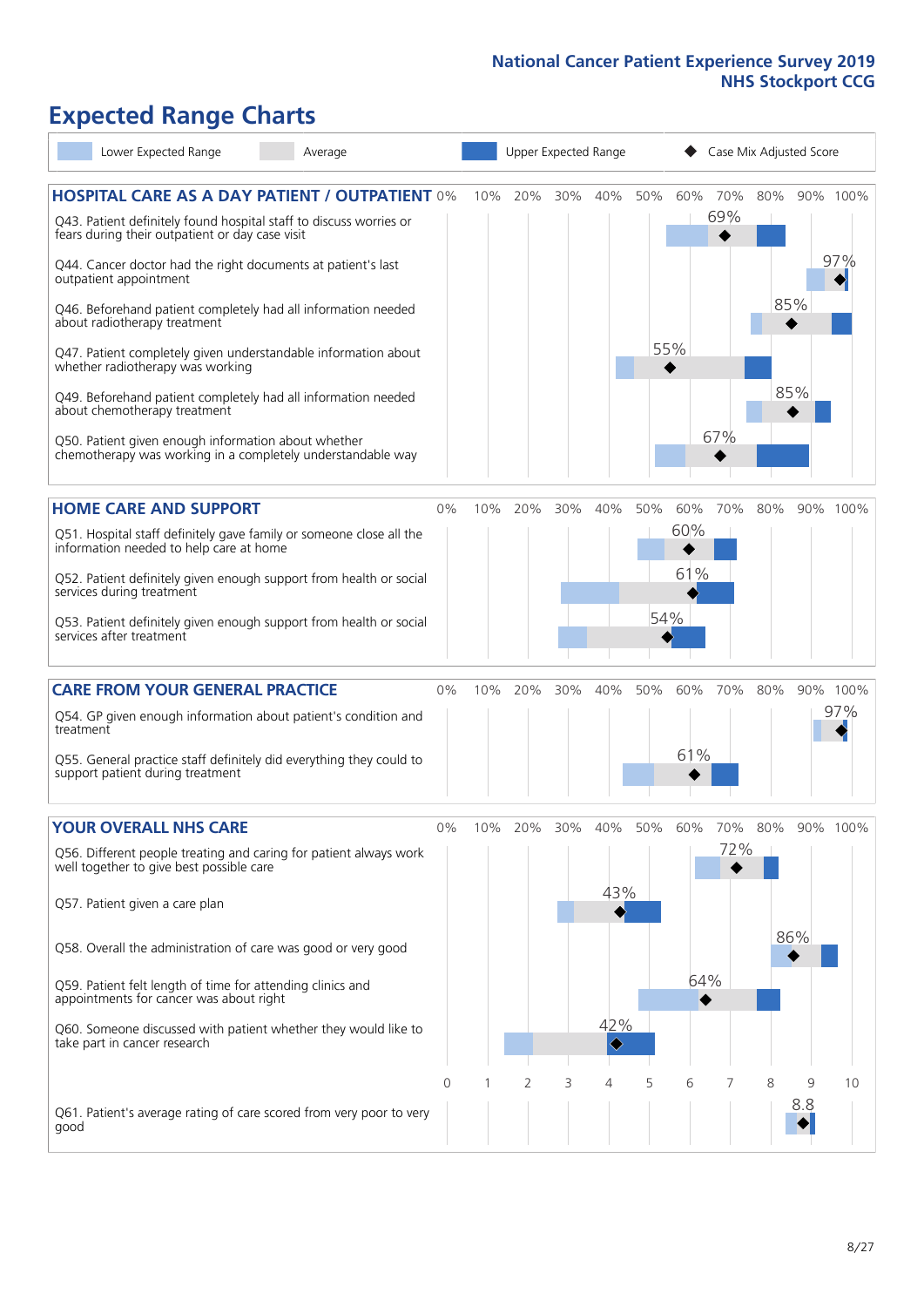# **Expected Range Charts**

| Lower Expected Range                                                                                                                      | Average |    |     |     |     | Upper Expected Range                    |     |          |            | Case Mix Adjusted Score |          |          |
|-------------------------------------------------------------------------------------------------------------------------------------------|---------|----|-----|-----|-----|-----------------------------------------|-----|----------|------------|-------------------------|----------|----------|
| <b>HOSPITAL CARE AS A DAY PATIENT / OUTPATIENT 0%</b><br>Q43. Patient definitely found hospital staff to discuss worries or               |         |    | 10% | 20% | 30% | 40%                                     | 50% | 60%      | 70%<br>69% | 80%                     |          | 90% 100% |
| fears during their outpatient or day case visit<br>Q44. Cancer doctor had the right documents at patient's last<br>outpatient appointment |         |    |     |     |     |                                         |     |          |            |                         |          | 97%      |
| Q46. Beforehand patient completely had all information needed<br>about radiotherapy treatment                                             |         |    |     |     |     |                                         |     |          |            |                         | 85%      |          |
| Q47. Patient completely given understandable information about<br>whether radiotherapy was working                                        |         |    |     |     |     |                                         |     | 55%      |            |                         |          |          |
| Q49. Beforehand patient completely had all information needed<br>about chemotherapy treatment                                             |         |    |     |     |     |                                         |     |          |            |                         | 85%      |          |
| Q50. Patient given enough information about whether<br>chemotherapy was working in a completely understandable way                        |         |    |     |     |     |                                         |     |          | 67%        |                         |          |          |
| <b>HOME CARE AND SUPPORT</b>                                                                                                              |         | 0% | 10% | 20% | 30% | 40%                                     | 50% | 60%      | 70%        | 80%                     |          | 90% 100% |
| Q51. Hospital staff definitely gave family or someone close all the<br>information needed to help care at home                            |         |    |     |     |     |                                         |     | 60%      |            |                         |          |          |
| Q52. Patient definitely given enough support from health or social<br>services during treatment                                           |         |    |     |     |     |                                         |     | 61%      |            |                         |          |          |
| Q53. Patient definitely given enough support from health or social<br>services after treatment                                            |         |    |     |     |     |                                         |     | 54%      |            |                         |          |          |
| <b>CARE FROM YOUR GENERAL PRACTICE</b>                                                                                                    |         | 0% | 10% | 20% | 30% | 40%                                     | 50% | 60%      | 70%        | 80%                     |          | 90% 100% |
| Q54. GP given enough information about patient's condition and<br>treatment                                                               |         |    |     |     |     |                                         |     |          |            |                         |          | 97%      |
| Q55. General practice staff definitely did everything they could to<br>support patient during treatment                                   |         |    |     |     |     |                                         |     | 61%      |            |                         |          |          |
| <b>YOUR OVERALL NHS CARE</b>                                                                                                              |         | 0% | 10% | 20% | 30% | 40%                                     | 50% | 60%      | 70%        | 80%                     |          | 90% 100% |
| Q56. Different people treating and caring for patient always work<br>well together to give best possible care                             |         |    |     |     |     |                                         |     |          | 72%        |                         |          |          |
| Q57. Patient given a care plan                                                                                                            |         |    |     |     |     | 43%                                     |     |          |            |                         |          |          |
| Q58. Overall the administration of care was good or very good                                                                             |         |    |     |     |     |                                         |     |          |            |                         | 86%      |          |
| Q59. Patient felt length of time for attending clinics and<br>appointments for cancer was about right                                     |         |    |     |     |     |                                         |     | 64%<br>◆ |            |                         |          |          |
| Q60. Someone discussed with patient whether they would like to<br>take part in cancer research                                            |         |    |     |     |     | 42%<br>$\hat{\textcolor{red} \diamond}$ |     |          |            |                         |          |          |
|                                                                                                                                           |         | 0  |     | 2   | 3   | 4                                       | 5   | 6        |            | 8                       | 9<br>8.8 | 10       |
| Q61. Patient's average rating of care scored from very poor to very<br>good                                                               |         |    |     |     |     |                                         |     |          |            |                         |          |          |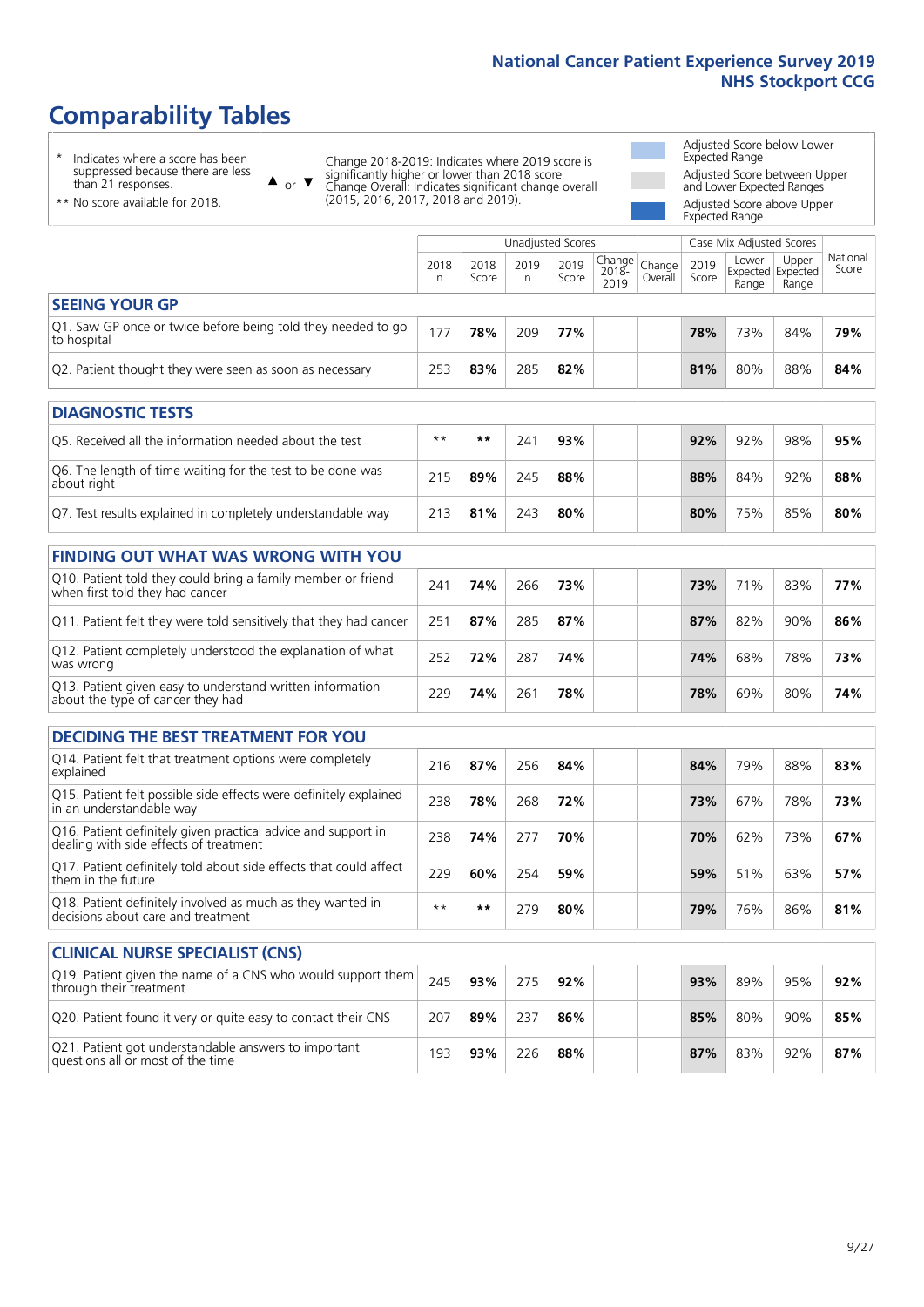# **Comparability Tables**

\* Indicates where a score has been suppressed because there are less than 21 responses.

\*\* No score available for 2018.

 $\triangle$  or  $\nabla$ 

Change 2018-2019: Indicates where 2019 score is significantly higher or lower than 2018 score Change Overall: Indicates significant change overall (2015, 2016, 2017, 2018 and 2019).

Adjusted Score below Lower Expected Range Adjusted Score between Upper and Lower Expected Ranges Adjusted Score above Upper

Expected Range

|                                                                             |           |               | Unadjusted Scores |               |                                          |         |               | Case Mix Adjusted Scores |                                     |                   |
|-----------------------------------------------------------------------------|-----------|---------------|-------------------|---------------|------------------------------------------|---------|---------------|--------------------------|-------------------------------------|-------------------|
|                                                                             | 2018<br>n | 2018<br>Score | 2019<br>n         | 2019<br>Score | $\sqrt{Change} Change $<br>2018-<br>2019 | Overall | 2019<br>Score | Lower<br>Range           | Upper<br>Expected Expected<br>Range | National<br>Score |
| <b>SEEING YOUR GP</b>                                                       |           |               |                   |               |                                          |         |               |                          |                                     |                   |
| Q1. Saw GP once or twice before being told they needed to go<br>to hospital | 177       | 78%           | 209               | 77%           |                                          |         | 78%           | 73%                      | 84%                                 | 79%               |
| Q2. Patient thought they were seen as soon as necessary                     | 253       | 83%           | 285               | 82%           |                                          |         | 81%           | 80%                      | 88%                                 | 84%               |
| <b>DIAGNOSTIC TESTS</b>                                                     |           |               |                   |               |                                          |         |               |                          |                                     |                   |
| $\sigma$ , and if $\sigma$ is the set of $\sigma$                           | الملد ملد | مقدمقد        | $\bigcap$         | $\sim$        |                                          |         | 0.201         | $\sim$ $\sim$ $\sim$     | 0.001                               | $P - Q$           |

| Q5. Received all the information needed about the test                    | $***$ | **  | 24٠ | 93% | 92% | 92% | 98% | 95% |
|---------------------------------------------------------------------------|-------|-----|-----|-----|-----|-----|-----|-----|
| Q6. The length of time waiting for the test to be done was<br>about right | 215   | 89% | 245 | 88% | 88% | 84% | 92% | 88% |
| Q7. Test results explained in completely understandable way               | 213   | 81% | 243 | 80% | 80% | 75% | 85% | 80% |

| <b>FINDING OUT WHAT WAS WRONG WITH YOU</b>                                                      |     |     |     |     |     |     |     |     |
|-------------------------------------------------------------------------------------------------|-----|-----|-----|-----|-----|-----|-----|-----|
| Q10. Patient told they could bring a family member or friend<br>when first told they had cancer | 241 | 74% | 266 | 73% | 73% | 71% | 83% | 77% |
| Q11. Patient felt they were told sensitively that they had cancer                               | 251 | 87% | 285 | 87% | 87% | 82% | 90% | 86% |
| Q12. Patient completely understood the explanation of what<br>was wrong                         | 252 | 72% | 287 | 74% | 74% | 68% | 78% | 73% |
| Q13. Patient given easy to understand written information<br>about the type of cancer they had  | 229 | 74% | 261 | 78% | 78% | 69% | 80% | 74% |

| <b>DECIDING THE BEST TREATMENT FOR YOU</b>                                                              |      |     |     |     |     |     |     |     |
|---------------------------------------------------------------------------------------------------------|------|-----|-----|-----|-----|-----|-----|-----|
| Q14. Patient felt that treatment options were completely<br>explained                                   | 216  | 87% | 256 | 84% | 84% | 79% | 88% | 83% |
| Q15. Patient felt possible side effects were definitely explained<br>in an understandable way           | 238  | 78% | 268 | 72% | 73% | 67% | 78% | 73% |
| Q16. Patient definitely given practical advice and support in<br>dealing with side effects of treatment | 238  | 74% | 277 | 70% | 70% | 62% | 73% | 67% |
| Q17. Patient definitely told about side effects that could affect<br>them in the future                 | 229  | 60% | 254 | 59% | 59% | 51% | 63% | 57% |
| Q18. Patient definitely involved as much as they wanted in<br>decisions about care and treatment        | $**$ | **  | 279 | 80% | 79% | 76% | 86% | 81% |

| <b>CLINICAL NURSE SPECIALIST (CNS)</b>                                                    |     |     |     |     |     |     |     |     |
|-------------------------------------------------------------------------------------------|-----|-----|-----|-----|-----|-----|-----|-----|
| [Q19. Patient given the name of a CNS who would support them<br>through their treatment   | 245 | 93% | 275 | 92% | 93% | 89% | 95% | 92% |
| Q20. Patient found it very or quite easy to contact their CNS                             | 207 | 89% | 237 | 86% | 85% | 80% | 90% | 85% |
| Q21. Patient got understandable answers to important<br>questions all or most of the time | 193 | 93% | 226 | 88% | 87% | 83% | 92% | 87% |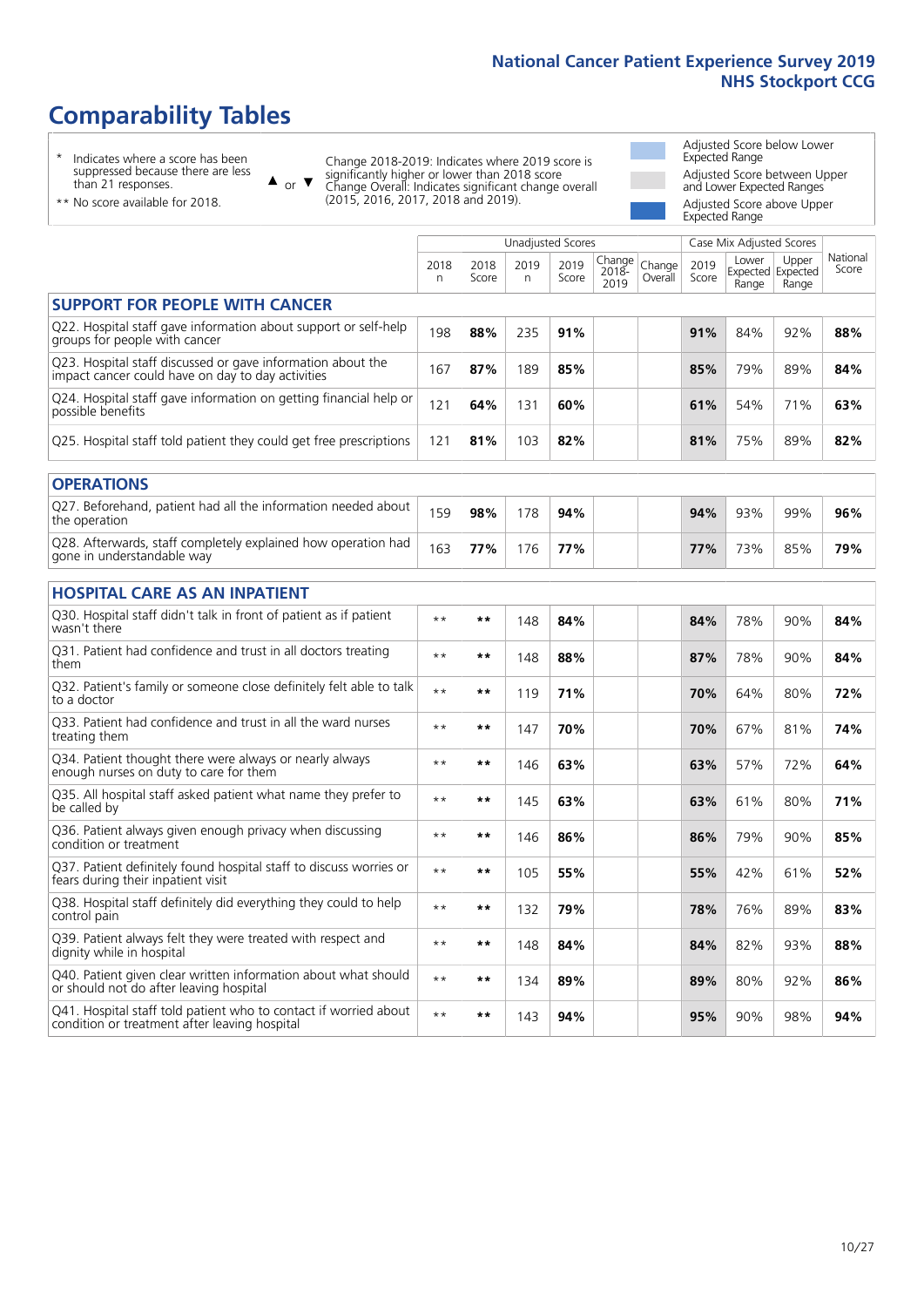# **Comparability Tables**

\* Indicates where a score has been suppressed because there are less than 21 responses.

\*\* No score available for 2018.

 $\triangle$  or  $\nabla$ 

Change 2018-2019: Indicates where 2019 score is significantly higher or lower than 2018 score Change Overall: Indicates significant change overall (2015, 2016, 2017, 2018 and 2019).

Adjusted Score below Lower Expected Range Adjusted Score between Upper and Lower Expected Ranges Adjusted Score above Upper Expected Range

|                                                                                                                   |              |               |           | <b>Unadjusted Scores</b> |                         |                   |               | Case Mix Adjusted Scores            |                |                   |
|-------------------------------------------------------------------------------------------------------------------|--------------|---------------|-----------|--------------------------|-------------------------|-------------------|---------------|-------------------------------------|----------------|-------------------|
|                                                                                                                   | 2018<br>n    | 2018<br>Score | 2019<br>n | 2019<br>Score            | Change<br>2018-<br>2019 | Change<br>Overall | 2019<br>Score | Lower<br>Expected Expected<br>Range | Upper<br>Range | National<br>Score |
| <b>SUPPORT FOR PEOPLE WITH CANCER</b>                                                                             |              |               |           |                          |                         |                   |               |                                     |                |                   |
| Q22. Hospital staff gave information about support or self-help<br>groups for people with cancer                  | 198          | 88%           | 235       | 91%                      |                         |                   | 91%           | 84%                                 | 92%            | 88%               |
| Q23. Hospital staff discussed or gave information about the<br>impact cancer could have on day to day activities  | 167          | 87%           | 189       | 85%                      |                         |                   | 85%           | 79%                                 | 89%            | 84%               |
| Q24. Hospital staff gave information on getting financial help or<br>possible benefits                            | 121          | 64%           | 131       | 60%                      |                         |                   | 61%           | 54%                                 | 71%            | 63%               |
| Q25. Hospital staff told patient they could get free prescriptions                                                | 121          | 81%           | 103       | 82%                      |                         |                   | 81%           | 75%                                 | 89%            | 82%               |
| <b>OPERATIONS</b>                                                                                                 |              |               |           |                          |                         |                   |               |                                     |                |                   |
| Q27. Beforehand, patient had all the information needed about<br>the operation                                    | 159          | 98%           | 178       | 94%                      |                         |                   | 94%           | 93%                                 | 99%            | 96%               |
| Q28. Afterwards, staff completely explained how operation had<br>gone in understandable way                       | 163          | 77%           | 176       | 77%                      |                         |                   | 77%           | 73%                                 | 85%            | 79%               |
| <b>HOSPITAL CARE AS AN INPATIENT</b>                                                                              |              |               |           |                          |                         |                   |               |                                     |                |                   |
| Q30. Hospital staff didn't talk in front of patient as if patient<br>wasn't there                                 | $* *$        | **            | 148       | 84%                      |                         |                   | 84%           | 78%                                 | 90%            | 84%               |
| Q31. Patient had confidence and trust in all doctors treating<br>them                                             | $\star\star$ | **            | 148       | 88%                      |                         |                   | 87%           | 78%                                 | 90%            | 84%               |
| Q32. Patient's family or someone close definitely felt able to talk<br>to a doctor                                | $\star\star$ | **            | 119       | 71%                      |                         |                   | 70%           | 64%                                 | 80%            | 72%               |
| Q33. Patient had confidence and trust in all the ward nurses<br>treating them                                     | $***$        | **            | 147       | 70%                      |                         |                   | 70%           | 67%                                 | 81%            | 74%               |
| Q34. Patient thought there were always or nearly always<br>enough nurses on duty to care for them                 | $**$         | **            | 146       | 63%                      |                         |                   | 63%           | 57%                                 | 72%            | 64%               |
| Q35. All hospital staff asked patient what name they prefer to<br>be called by                                    | $**$         | **            | 145       | 63%                      |                         |                   | 63%           | 61%                                 | 80%            | 71%               |
| Q36. Patient always given enough privacy when discussing<br>condition or treatment                                | $\star\star$ | **            | 146       | 86%                      |                         |                   | 86%           | 79%                                 | 90%            | 85%               |
| Q37. Patient definitely found hospital staff to discuss worries or<br>fears during their inpatient visit          | $***$        | **            | 105       | 55%                      |                         |                   | 55%           | 42%                                 | 61%            | 52%               |
| Q38. Hospital staff definitely did everything they could to help<br>control pain                                  | $***$        | **            | 132       | 79%                      |                         |                   | 78%           | 76%                                 | 89%            | 83%               |
| Q39. Patient always felt they were treated with respect and<br>dignity while in hospital                          | $\star\star$ | **            | 148       | 84%                      |                         |                   | 84%           | 82%                                 | 93%            | 88%               |
| Q40. Patient given clear written information about what should<br>or should not do after leaving hospital         | $**$         | **            | 134       | 89%                      |                         |                   | 89%           | 80%                                 | 92%            | 86%               |
| Q41. Hospital staff told patient who to contact if worried about<br>condition or treatment after leaving hospital | $**$         | **            | 143       | 94%                      |                         |                   | 95%           | 90%                                 | 98%            | 94%               |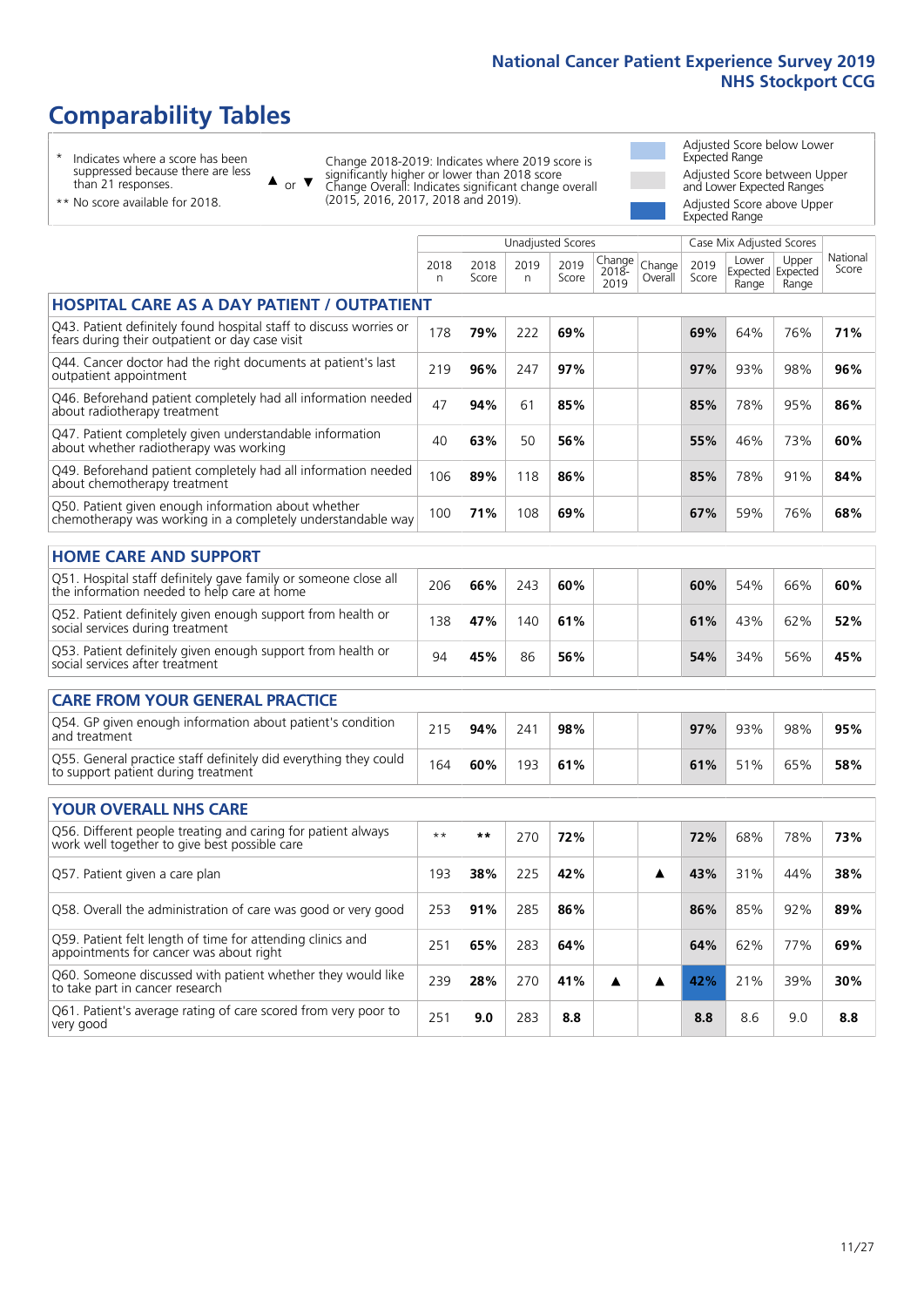# **Comparability Tables**

\* Indicates where a score has been suppressed because there are less than 21 responses.

\*\* No score available for 2018.

 $\triangle$  or  $\nabla$ 

Change 2018-2019: Indicates where 2019 score is significantly higher or lower than 2018 score Change Overall: Indicates significant change overall (2015, 2016, 2017, 2018 and 2019).

Adjusted Score below Lower Expected Range Adjusted Score between Upper and Lower Expected Ranges Adjusted Score above Upper Expected Range

|                                                                                                                       |              |               |            | <b>Unadjusted Scores</b> |                         |                   |               | Case Mix Adjusted Scores            |                |                   |
|-----------------------------------------------------------------------------------------------------------------------|--------------|---------------|------------|--------------------------|-------------------------|-------------------|---------------|-------------------------------------|----------------|-------------------|
|                                                                                                                       | 2018<br>n    | 2018<br>Score | 2019<br>n. | 2019<br>Score            | Change<br>2018-<br>2019 | Change<br>Overall | 2019<br>Score | Lower<br>Expected Expected<br>Range | Upper<br>Range | National<br>Score |
| <b>HOSPITAL CARE AS A DAY PATIENT / OUTPATIENT</b>                                                                    |              |               |            |                          |                         |                   |               |                                     |                |                   |
| Q43. Patient definitely found hospital staff to discuss worries or<br>fears during their outpatient or day case visit | 178          | 79%           | 222        | 69%                      |                         |                   | 69%           | 64%                                 | 76%            | 71%               |
| Q44. Cancer doctor had the right documents at patient's last<br>outpatient appointment                                | 219          | 96%           | 247        | 97%                      |                         |                   | 97%           | 93%                                 | 98%            | 96%               |
| Q46. Beforehand patient completely had all information needed<br>about radiotherapy treatment                         | 47           | 94%           | 61         | 85%                      |                         |                   | 85%           | 78%                                 | 95%            | 86%               |
| Q47. Patient completely given understandable information<br>about whether radiotherapy was working                    | 40           | 63%           | 50         | 56%                      |                         |                   | 55%           | 46%                                 | 73%            | 60%               |
| Q49. Beforehand patient completely had all information needed<br>about chemotherapy treatment                         | 106          | 89%           | 118        | 86%                      |                         |                   | 85%           | 78%                                 | 91%            | 84%               |
| Q50. Patient given enough information about whether<br>chemotherapy was working in a completely understandable way    | 100          | 71%           | 108        | 69%                      |                         |                   | 67%           | 59%                                 | 76%            | 68%               |
| <b>HOME CARE AND SUPPORT</b>                                                                                          |              |               |            |                          |                         |                   |               |                                     |                |                   |
| Q51. Hospital staff definitely gave family or someone close all<br>the information needed to help care at home        | 206          | 66%           | 243        | 60%                      |                         |                   | 60%           | 54%                                 | 66%            | 60%               |
| Q52. Patient definitely given enough support from health or<br>social services during treatment                       | 138          | 47%           | 140        | 61%                      |                         |                   | 61%           | 43%                                 | 62%            | 52%               |
| Q53. Patient definitely given enough support from health or<br>social services after treatment                        | 94           | 45%           | 86         | 56%                      |                         |                   | 54%           | 34%                                 | 56%            | 45%               |
| <b>CARE FROM YOUR GENERAL PRACTICE</b>                                                                                |              |               |            |                          |                         |                   |               |                                     |                |                   |
| Q54. GP given enough information about patient's condition<br>and treatment                                           | 215          | 94%           | 241        | 98%                      |                         |                   | 97%           | 93%                                 | 98%            | 95%               |
| Q55. General practice staff definitely did everything they could<br>to support patient during treatment               | 164          | 60%           | 193        | 61%                      |                         |                   | 61%           | 51%                                 | 65%            | 58%               |
| <b>YOUR OVERALL NHS CARE</b>                                                                                          |              |               |            |                          |                         |                   |               |                                     |                |                   |
| Q56. Different people treating and caring for patient always<br>work well together to give best possible care         | $\star\star$ | $***$         | 270        | 72%                      |                         |                   | 72%           | 68%                                 | 78%            | 73%               |
| Q57. Patient given a care plan                                                                                        | 193          | 38%           | 225        | 42%                      |                         | ▲                 | 43%           | 31%                                 | 44%            | 38%               |
| Q58. Overall the administration of care was good or very good                                                         | 253          | 91%           | 285        | 86%                      |                         |                   | 86%           | 85%                                 | 92%            | 89%               |
| Q59. Patient felt length of time for attending clinics and<br>appointments for cancer was about right                 | 251          | 65%           | 283        | 64%                      |                         |                   | 64%           | 62%                                 | 77%            | 69%               |
| Q60. Someone discussed with patient whether they would like<br>to take part in cancer research                        | 239          | 28%           | 270        | 41%                      | ▲                       | ▲                 | 42%           | 21%                                 | 39%            | 30%               |
| Q61. Patient's average rating of care scored from very poor to<br>very good                                           | 251          | 9.0           | 283        | 8.8                      |                         |                   | 8.8           | 8.6                                 | 9.0            | 8.8               |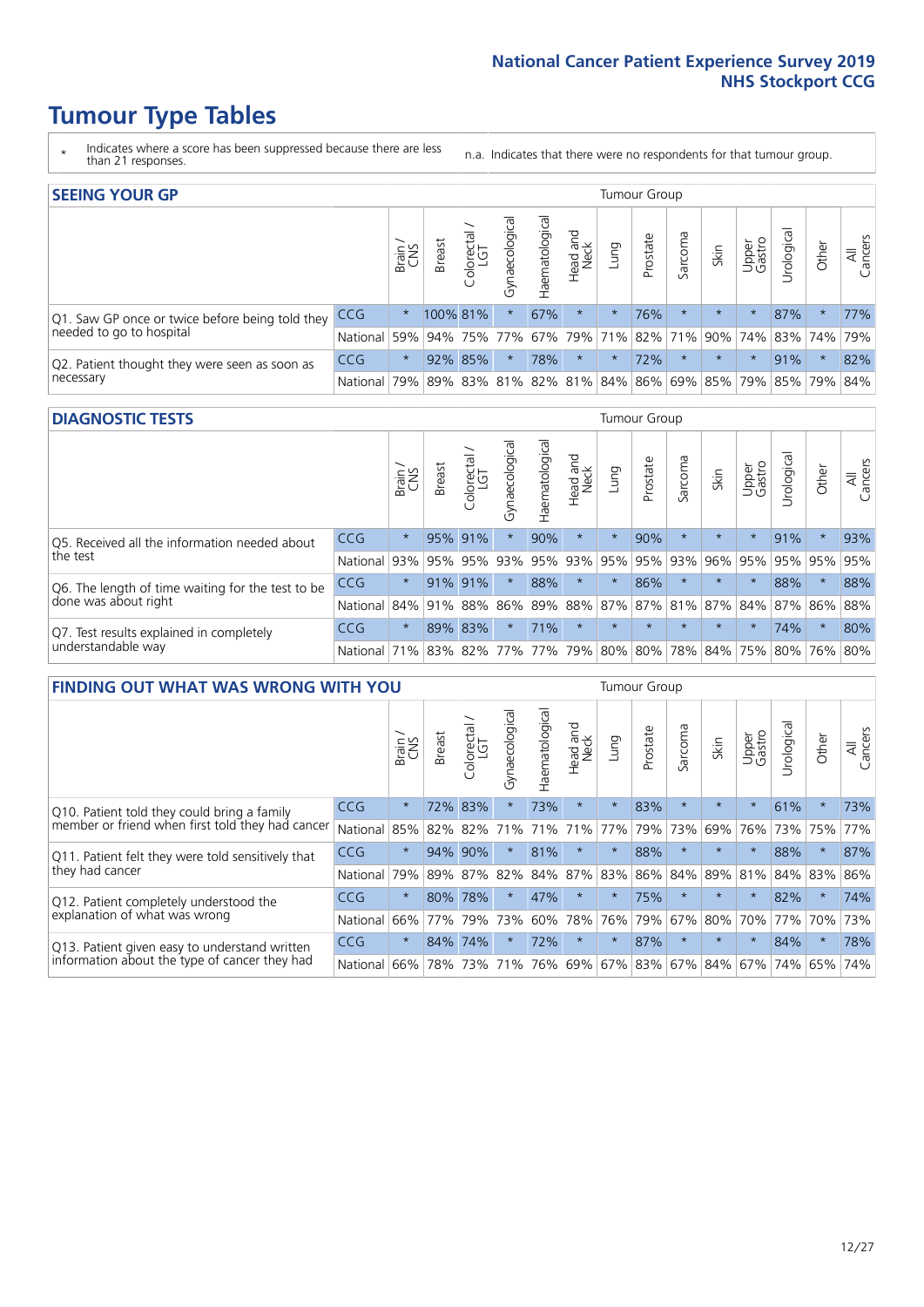# **Tumour Type Tables**

- \* Indicates where a score has been suppressed because there are less than 21 responses.
- n.a. Indicates that there were no respondents for that tumour group.

| <b>SEEING YOUR GP</b>                           |            |         |               |            |                    |                |                                               |         | Tumour Group |         |         |                 |                                                           |         |                |
|-------------------------------------------------|------------|---------|---------------|------------|--------------------|----------------|-----------------------------------------------|---------|--------------|---------|---------|-----------------|-----------------------------------------------------------|---------|----------------|
|                                                 |            | Brain   | <b>Breast</b> | Colorectal | ᠊ᢛ<br>Gynaecologic | Haematological | Head and<br>Neck                              | Lung    | Prostate     | Sarcoma | Skin    | Upper<br>Gastro | $\sigma$<br>Irologica                                     | Other   | All<br>Cancers |
| Q1. Saw GP once or twice before being told they | <b>CCG</b> | $\star$ | 100% 81%      |            | $\star$            | 67%            | $\star$                                       | $\star$ | 76%          |         | $\star$ | $\star$         | 87%                                                       | $\star$ | 77%            |
| needed to go to hospital                        | National   | 59%     |               |            | 94% 75% 77%        |                |                                               |         |              |         |         |                 | 67%   79%   71%   82%   71%   90%   74%   83%   74%   79% |         |                |
| Q2. Patient thought they were seen as soon as   | <b>CCG</b> | $\star$ |               | 92% 85%    | $\star$            | 78%            | $\star$                                       | $\star$ | 72%          | $\star$ | $\star$ | $\star$         | 91%                                                       | $\star$ | 82%            |
| necessary                                       | National   | 79%     |               | 89% 83%    |                    |                | 81%   82%   81%   84%   86%   69%   85%   79% |         |              |         |         |                 | 85% 79%                                                   |         | 84%            |

#### **DIAGNOSTIC TESTS** Tumour Group

|                                                   |              | Brain<br>CNS | <b>Breast</b> | Colorectal<br>LGT           | ᠊ᢛ<br>Gynaecologic | Haematological | Head and<br>Neck | Lung        | Prostate | Sarcoma | Skin                                        | Upper<br>Gastro | rological | Other   | All<br>Cancers |
|---------------------------------------------------|--------------|--------------|---------------|-----------------------------|--------------------|----------------|------------------|-------------|----------|---------|---------------------------------------------|-----------------|-----------|---------|----------------|
| Q5. Received all the information needed about     | CCG          | $\star$      | 95% 91%       |                             | $\star$            | 90%            | $\star$          | $\star$     | 90%      |         | $\star$                                     | $\star$         | 91%       | $\star$ | 93%            |
| the test                                          | National     | 93%          | 95%           | 95%                         | 93%                | 95%            |                  | 93% 95% 95% |          | 93%     | 96%                                         |                 | 95% 95%   | 95%     | 95%            |
| Q6. The length of time waiting for the test to be | <b>CCG</b>   | $\star$      | 91%           | 91%                         | $\star$            | 88%            | $\star$          | $\star$     | 86%      | $\star$ | $\star$                                     | $\star$         | 88%       | $\star$ | 88%            |
| done was about right                              | National     |              |               | 84% 91% 88%                 |                    |                |                  |             |          |         | 86% 89% 88% 87% 87% 81% 87% 84% 87% 86% 88% |                 |           |         |                |
| Q7. Test results explained in completely          | CCG          | $\star$      |               | 89% 83%                     | $\star$            | 71%            | $\star$          | $\star$     | $\star$  | $\star$ | $\star$                                     | $\star$         | 74%       | $\star$ | 80%            |
| understandable way                                | National 71% |              |               | 83% 82% 77% 77% 79% 80% 80% |                    |                |                  |             |          |         | 78% 84% 75% 80% 76% 80%                     |                 |           |         |                |

| <b>FINDING OUT WHAT WAS WRONG WITH YOU</b>        |          |         |               |                             |                |                    |                        |         | <b>Tumour Group</b> |         |         |                 |          |          |                |
|---------------------------------------------------|----------|---------|---------------|-----------------------------|----------------|--------------------|------------------------|---------|---------------------|---------|---------|-----------------|----------|----------|----------------|
|                                                   |          | Brain   | <b>Breast</b> | olorectal.<br>LGT<br>$\cup$ | Gynaecological | aematological<br>Ĩ | ad and<br>Neck<br>Head | Lung    | Prostate            | Sarcoma | Skin    | Upper<br>Gastro | rologica | Other    | All<br>Cancers |
| Q10. Patient told they could bring a family       | CCG      | $\star$ | 72%           | 83%                         |                | 73%                | $\star$                | $\star$ | 83%                 | $\star$ | $\star$ | $\star$         | 61%      | $\ast$   | 73%            |
| member or friend when first told they had cancer  | National | 85%     | 82%           | 82%                         | 71%            | 71%                | 71%                    | 77%     | 79%                 | 73%     | 69%     | 76%             | 73%      | 75%      | 77%            |
| Q11. Patient felt they were told sensitively that | CCG      | $\star$ | 94%           | 90%                         |                | 81%                | $^\star$               | $\star$ | 88%                 | $\star$ | $\star$ |                 | 88%      | $^\star$ | 87%            |
| they had cancer                                   | National | 79%     | 89% 87%       |                             | 82%            |                    | 84% 87%                | 83%     | 86%                 | 84%     | 89%     | 81%             | 84% 83%  |          | 86%            |
| Q12. Patient completely understood the            | CCG      | $\star$ | 80%           | 78%                         |                | 47%                | $\star$                | $\star$ | 75%                 | $\star$ | $\star$ |                 | 82%      | $^\star$ | 74%            |
| explanation of what was wrong                     | National | 66%     | 77%           | 79%                         | 73%            | 60%                | 78%                    | 76%     | 79%                 | 67%     | 80%     | 70%             | 77%      | 70%      | 73%            |
| Q13. Patient given easy to understand written     | CCG      | $\star$ | 84%           | 74%                         |                | 72%                | $\star$                | $\star$ | 87%                 | $\star$ | $\star$ | $\star$         | 84%      | $\ast$   | 78%            |
| information about the type of cancer they had     | National | 66%     | 78%           | 73%                         | 71%            | 76%                | 69%                    | 67%     | 83%                 |         | 67% 84% | 67%             | 74%      | 65%      | 74%            |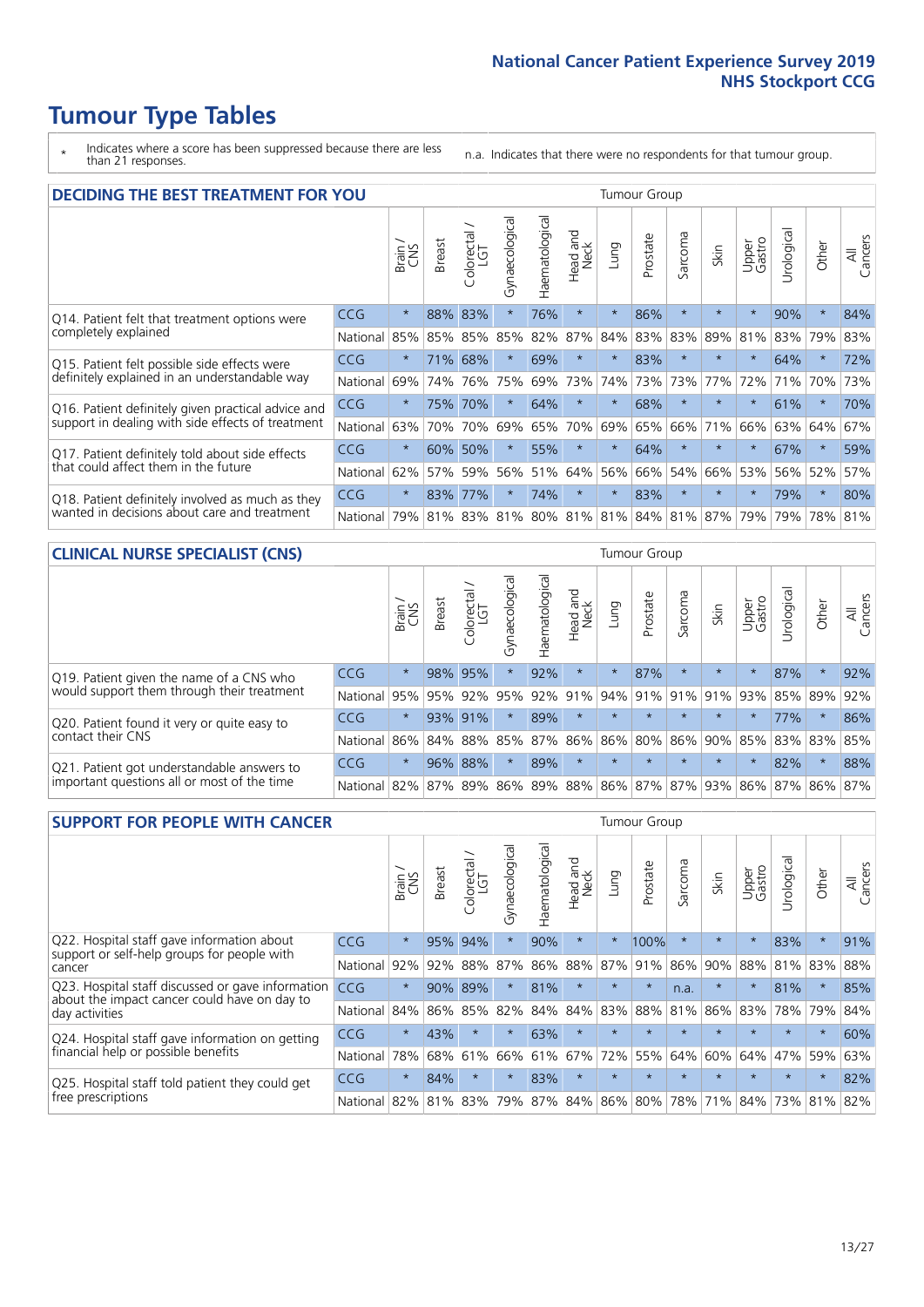# **Tumour Type Tables**

- \* Indicates where a score has been suppressed because there are less than 21 responses.
- n.a. Indicates that there were no respondents for that tumour group.

| <b>DECIDING THE BEST TREATMENT FOR YOU</b>         |            |         |               |                             |                |                |                         |         | <b>Tumour Group</b> |                                     |         |                 |            |         |                |
|----------------------------------------------------|------------|---------|---------------|-----------------------------|----------------|----------------|-------------------------|---------|---------------------|-------------------------------------|---------|-----------------|------------|---------|----------------|
|                                                    |            | Brain   | <b>Breast</b> | olorectal.<br>LGT<br>$\cup$ | Gynaecological | Haematological | ead and<br>Neck<br>Head | Lung    | Prostate            | arcoma<br>$\overline{2}$            | Skin    | Upper<br>Gastro | Jrological | Other   | All<br>Cancers |
| Q14. Patient felt that treatment options were      | <b>CCG</b> | $\star$ | 88%           | 83%                         | $\star$        | 76%            | $\star$                 | $\star$ | 86%                 | $\star$                             |         | $\star$         | 90%        | $\star$ | 84%            |
| completely explained                               | National   | 85%     | 85%           | 85%                         | 85%            | 82%            | 87%                     | 84%     | 83%                 | 83%                                 | 89%     | 81%             | 83%        | 79%     | 83%            |
| Q15. Patient felt possible side effects were       | <b>CCG</b> | $\star$ | 71%           | 68%                         | $\star$        | 69%            | $\star$                 | $\star$ | 83%                 | $\star$                             |         | $\star$         | 64%        | $\star$ | 72%            |
| definitely explained in an understandable way      | National   | 69%     | 74%           | 76%                         | 75%            | 69%            | 73%                     | 74%     | 73%                 | 73%                                 | 77%     | 72%             | 71%        | 70%     | 73%            |
| Q16. Patient definitely given practical advice and | CCG        | $\star$ | 75%           | 70%                         | $\star$        | 64%            | $\star$                 | $\star$ | 68%                 | $\star$                             | $\star$ | $\star$         | 61%        | $\star$ | 70%            |
| support in dealing with side effects of treatment  | National   | 63%     | 70%           | 70%                         | 69%            | 65%            | 70%                     | 69%     | 65%                 | 66%                                 | 71%     | 66%             | 63%        | 64%     | 67%            |
| Q17. Patient definitely told about side effects    | CCG        | $\star$ | 60%           | 50%                         | $\star$        | 55%            | $\star$                 | $\star$ | 64%                 | $\star$                             |         | $\star$         | 67%        | $\star$ | 59%            |
| that could affect them in the future               | National   | 62%     | 57%           | 59%                         | 56%            | 51%            | 64%                     | 56%     | 66%                 | 54%                                 | 66%     | 53%             |            | 56% 52% | 57%            |
| Q18. Patient definitely involved as much as they   | CCG        | $\star$ | 83%           | 77%                         | $\star$        | 74%            | $\star$                 | $\star$ | 83%                 | $^\star$                            | $\star$ | $\star$         | 79%        | $\star$ | 80%            |
| wanted in decisions about care and treatment       | National   | 79%     |               |                             |                |                |                         |         |                     | 81% 83% 81% 80% 81% 81% 84% 81% 87% |         | 79%             | 79%        | 78% 81% |                |

#### **CLINICAL NURSE SPECIALIST (CNS)** Tumour Group

|                                             |            | Brain   | Breast | Colorectal<br>LGT | ᢛ<br>Gynaecologi | Haematological | Head and<br>Neck | Lung                  | Prostate | Sarcoma | Skin                    | Upper<br>Gastro | $\sigma$<br>Irologica | Other   | All<br>Cancers |
|---------------------------------------------|------------|---------|--------|-------------------|------------------|----------------|------------------|-----------------------|----------|---------|-------------------------|-----------------|-----------------------|---------|----------------|
| Q19. Patient given the name of a CNS who    | <b>CCG</b> | $\star$ |        | 98% 95%           |                  | 92%            | $\star$          | $\star$               | 87%      | $\star$ | $\star$                 | $\star$         | 87%                   | $\star$ | 92%            |
| would support them through their treatment  | National   | 95%     | 95%    | 92%               | 95%              | 92%            | 91%              | 94% 91%               |          | 91%     | 91%                     | 93%             | 85% 89%               |         | 92%            |
| Q20. Patient found it very or quite easy to | CCG        | $\star$ |        | 93% 91%           |                  | 89%            | $\star$          | $\star$               | $\star$  | $\star$ | $\star$                 | $\star$         | 77%                   | $\star$ | 86%            |
| contact their CNS                           | National   | 86%     | 84%    | 88%               | 85%              |                |                  | 87%   86%   86%   80% |          | 86%     | 90%                     | 85%             | 83% 83%               |         | 85%            |
| Q21. Patient got understandable answers to  | CCG        | $\star$ | 96%    | 88%               | $\star$          | 89%            | $\star$          | $\star$               | $\star$  | $\star$ | $\star$                 | $\star$         | 82%                   | $\star$ | 88%            |
| important questions all or most of the time | National   | 82%     | 87%    | 89%               | 86%              |                |                  |                       |          |         | 89% 88% 86% 87% 87% 93% | 86%             | 87% 86% 87%           |         |                |

| <b>SUPPORT FOR PEOPLE WITH CANCER</b>                                                             |            |         |               |            |                |                |                         |          | <b>Tumour Group</b> |         |         |                 |            |         |                |
|---------------------------------------------------------------------------------------------------|------------|---------|---------------|------------|----------------|----------------|-------------------------|----------|---------------------|---------|---------|-----------------|------------|---------|----------------|
|                                                                                                   |            | Brain   | <b>Breast</b> | Colorectal | Gynaecological | Haematological | ead and<br>Neck<br>Head | Lung     | Prostate            | Sarcoma | Skin    | Upper<br>Gastro | Jrological | Other   | All<br>Cancers |
| Q22. Hospital staff gave information about<br>support or self-help groups for people with         | <b>CCG</b> | $\star$ | 95%           | 94%        | $\star$        | 90%            | $\star$                 | $^\star$ | 100%                | $\star$ | $\star$ | $\star$         | 83%        | $\star$ | 91%            |
| cancer                                                                                            | National   | 92%     | 92%           | 88%        | 87%            | 86%            | 88%                     | 87%      | 91%                 | 86%     | 90%     | 88%             | 81%        | 83%     | 88%            |
| Q23. Hospital staff discussed or gave information<br>about the impact cancer could have on day to | CCG        | $\star$ | 90%           | 89%        | $\star$        | 81%            | $\star$                 | $\star$  | $\star$             | n.a.    | $\star$ | $\star$         | 81%        | $\star$ | 85%            |
| day activities                                                                                    | National   | 84%     | 86%           | 85%        | 82%            | 84%            | 84%                     | 83%      | 88%                 | 81%     | 86%     | 83%             | 78%        | 79%     | 84%            |
| Q24. Hospital staff gave information on getting                                                   | CCG        | $\star$ | 43%           | $\star$    | $\star$        | 63%            | $\star$                 | $\star$  | $\star$             | $\star$ |         | $\star$         | $\star$    | $\ast$  | 60%            |
| financial help or possible benefits                                                               | National   | 78%     | 68%           | 61%        | 66%            | 61%            | 67%                     | 72%      | 55%                 | 64%     | 60%     | 64%             | 47%        | 59%     | 63%            |
| Q25. Hospital staff told patient they could get                                                   | CCG        | $\star$ | 84%           | $\star$    | $\star$        | 83%            | $\star$                 | $\star$  | $\star$             | $\star$ |         | $\star$         | $\star$    | $\star$ | 82%            |
| free prescriptions                                                                                | National   | 82%     | 81%           | 83%        | 79%            | 87%            |                         |          | 84% 86% 80%         | 78%     | 71%     | 84%             | 73%        | 81%     | 82%            |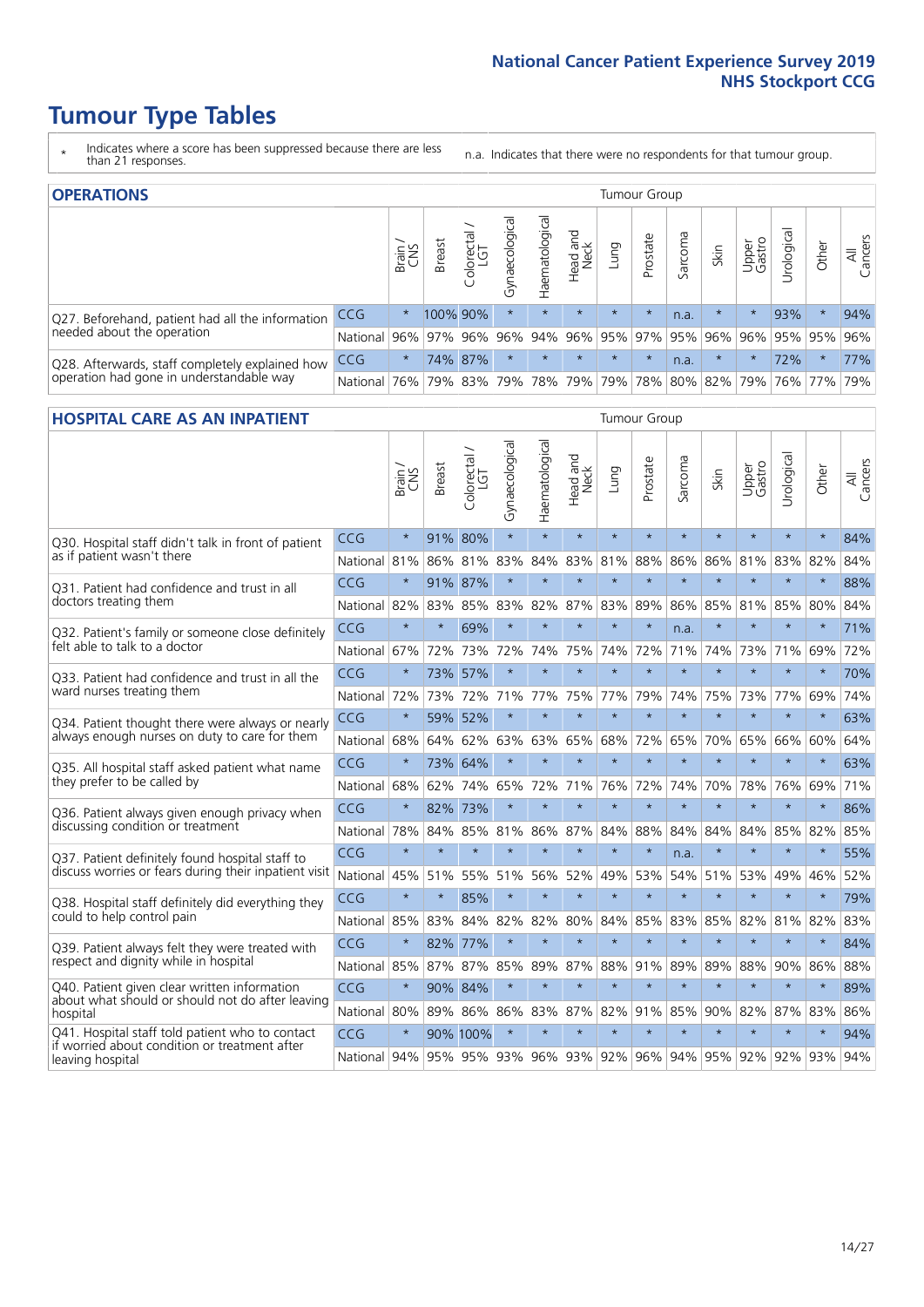# **Tumour Type Tables**

- \* Indicates where a score has been suppressed because there are less than 21 responses.
- n.a. Indicates that there were no respondents for that tumour group.

| <b>OPERATIONS</b>                                |              |         |               |                   |                    |                |                         |             | Tumour Group |         |         |                     |            |         |                |
|--------------------------------------------------|--------------|---------|---------------|-------------------|--------------------|----------------|-------------------------|-------------|--------------|---------|---------|---------------------|------------|---------|----------------|
|                                                  |              | Brain   | <b>Breast</b> | Colorectal<br>LGT | ᠊ᢛ<br>Gynaecologic | Haematological | Head and<br>Neck        | <b>Dung</b> | Prostate     | Sarcoma | Skin    | Upper<br>Gastro     | Jrological | Other   | All<br>Cancers |
| Q27. Beforehand, patient had all the information | CCG          | $\star$ |               | 100% 90%          | $\star$            | $\star$        | $\star$                 | $\star$     | $\star$      | n.a.    | $\star$ | $\star$             | 93%        | $\ast$  | 94%            |
| needed about the operation                       | National     | $96\%$  |               | 97% 96%           | 96%                |                | 94% 96% 95% 97% 95% 96% |             |              |         |         | 96%                 |            | 95% 95% | 96%            |
| Q28. Afterwards, staff completely explained how  | <b>CCG</b>   | $\star$ |               | 74% 87%           | $\star$            |                | $\star$                 | $\star$     | $\star$      | n.a.    | $\star$ | $\star$             | 72%        | $\star$ | 77%            |
| operation had gone in understandable way         | National 76% |         |               |                   |                    |                | 79% 83% 79% 78% 79%     |             |              |         |         | 79% 78% 80% 82% 79% |            | 76% 77% | 79%            |

#### **HOSPITAL CARE AS AN INPATIENT** Tumour Group

|                                                                                                  |              | Brain   | Breast  | Colorectal /<br>LGT     | Gynaecological | Haematological | Head and<br>Neck | Lung    | Prostate | Sarcoma | Skin            | Upper<br>Gastro | Urological | Other   | All<br>Cancers |
|--------------------------------------------------------------------------------------------------|--------------|---------|---------|-------------------------|----------------|----------------|------------------|---------|----------|---------|-----------------|-----------------|------------|---------|----------------|
| Q30. Hospital staff didn't talk in front of patient                                              | CCG          | $\star$ |         | 91% 80%                 | $\star$        | $\star$        | $\star$          | $\star$ | $\star$  | $\star$ | $\star$         | $\star$         | $\star$    | $\star$ | 84%            |
| as if patient wasn't there                                                                       | National     | 81%     | 86%     | 81%                     | 83%            | 84%            | 83%              | 81%     | 88%      | 86%     | 86%             | 81%             | 83%        | 82%     | 84%            |
| 031. Patient had confidence and trust in all                                                     | CCG          | $\star$ | 91% 87% |                         | $\star$        | $\star$        | $\star$          | $\star$ | $\star$  | $\star$ | $\star$         |                 | $\star$    | $\star$ | 88%            |
| doctors treating them                                                                            | National     | 82%     | 83%     | 85%                     | 83%            | 82%            |                  | 87% 83% | 89%      | 86%     | 85%             | 81%             | 85%        | 80%     | 84%            |
| Q32. Patient's family or someone close definitely                                                | CCG          | $\star$ | $\star$ | 69%                     | $\star$        | $\star$        | $\star$          | $\star$ | $\star$  | n.a.    | $\star$         | $\star$         | $\star$    | $\star$ | 71%            |
| felt able to talk to a doctor                                                                    | National     | 67%     | 72%     | 73%                     | 72%            | 74%            | 75%              | 74%     | 72%      | 71%     | 74%             | 73%             | 71%        | 69%     | 72%            |
| Q33. Patient had confidence and trust in all the                                                 | CCG          | $\star$ | 73%     | 57%                     | $\star$        | $\star$        | $\star$          | $\star$ | $\star$  | $\star$ | $\star$         | $\star$         | $\star$    | $\star$ | 70%            |
| ward nurses treating them                                                                        | National     | 72%     | 73%     | 72%                     | 71%            | 77%            | 75%              | 77%     | 79%      | 74%     | 75%             | 73%             | 77%        | 69%     | 74%            |
| Q34. Patient thought there were always or nearly                                                 | CCG          | $\star$ | 59%     | 52%                     | $\star$        | $\star$        | $\star$          | $\star$ | $\star$  | $\star$ | $\star$         | $\star$         | $\star$    | $\star$ | 63%            |
| always enough nurses on duty to care for them                                                    | National     | 68%     | 64%     | 62%                     | 63%            | 63%            | 65%              | 68%     | 72%      | 65%     | 70%             | 65%             | 66%        | 60%     | 64%            |
| Q35. All hospital staff asked patient what name                                                  | CCG          | $\star$ |         | 73% 64%                 | $\star$        | $\star$        | $\star$          | $\star$ | $\star$  | $\star$ | $\star$         | $\star$         | $\star$    | $\star$ | 63%            |
| they prefer to be called by                                                                      | National     | 68%     | 62%     | 74%                     | 65%            | 72%            | 71%              | 76%     | 72%      | 74%     | 70%             | 78%             | 76%        | 69%     | 71%            |
| Q36. Patient always given enough privacy when                                                    | CCG          | $\star$ | 82%     | 73%                     | $\star$        | $\star$        | $\star$          | $\star$ | $\star$  | $\star$ | $\star$         | $\star$         | $\star$    | $\star$ | 86%            |
| discussing condition or treatment                                                                | National     | 78%     | 84%     | 85%                     | 81%            | 86%            |                  | 87% 84% | 88%      | 84%     | 84%             | 84%             | 85%        | 82%     | 85%            |
| Q37. Patient definitely found hospital staff to                                                  | CCG          | $\star$ | $\star$ | $\star$                 | $\star$        | $\star$        | $\star$          | $\star$ | $\star$  | n.a.    | $\star$         |                 | $\star$    | $\star$ | 55%            |
| discuss worries or fears during their inpatient visit                                            | National     | 45%     | 51%     | 55%                     | 51%            | 56%            | 52%              | 49%     | 53%      | 54%     | 51%             | 53%             | 49%        | 46%     | 52%            |
| Q38. Hospital staff definitely did everything they                                               | CCG          | $\star$ | $\star$ | 85%                     | $\star$        | $\star$        | $\star$          | $\star$ | $\star$  | $\star$ | $\star$         | $\star$         | $\star$    | $\star$ | 79%            |
| could to help control pain                                                                       | National     | 85%     | 83%     | 84%                     | 82%            | 82%            | 80%              | 84%     | 85%      | 83%     | 85%             | 82%             | 81%        | 82%     | 83%            |
| Q39. Patient always felt they were treated with                                                  | CCG          | $\star$ | 82% 77% |                         | $\star$        | $\star$        | $\star$          | $\star$ | $\star$  | $\star$ | $\star$         | $\star$         | $\star$    | $\star$ | 84%            |
| respect and dignity while in hospital                                                            | National     | 85%     |         | 87% 87%                 | 85%            | 89%            |                  | 87% 88% | 91%      | 89%     | 89%             | 88%             | 90%        | 86%     | 88%            |
| Q40. Patient given clear written information<br>about what should or should not do after leaving | CCG          | $\star$ |         | 90% 84%                 | $\star$        | $\star$        | $\star$          | $\star$ | $\star$  | $\star$ | $\star$         | $\star$         | $\star$    | $\star$ | 89%            |
| hospital                                                                                         | National     | 80%     | 89%     | 86%                     | 86%            | 83%            |                  | 87% 82% | 91%      | 85%     | 90%             | 82%             | 87%        | 83%     | 86%            |
| Q41. Hospital staff told patient who to contact<br>if worried about condition or treatment after | CCG          | $\star$ |         | 90% 100%                | $\star$        | $\star$        | $\star$          | $\star$ | $\star$  | $\star$ | $\star$         | $\star$         | $\star$    | $\star$ | 94%            |
| leaving hospital                                                                                 | National 94% |         |         | 95% 95% 93% 96% 93% 92% |                |                |                  |         |          |         | 96% 94% 95% 92% |                 | 92%        | 93%     | 94%            |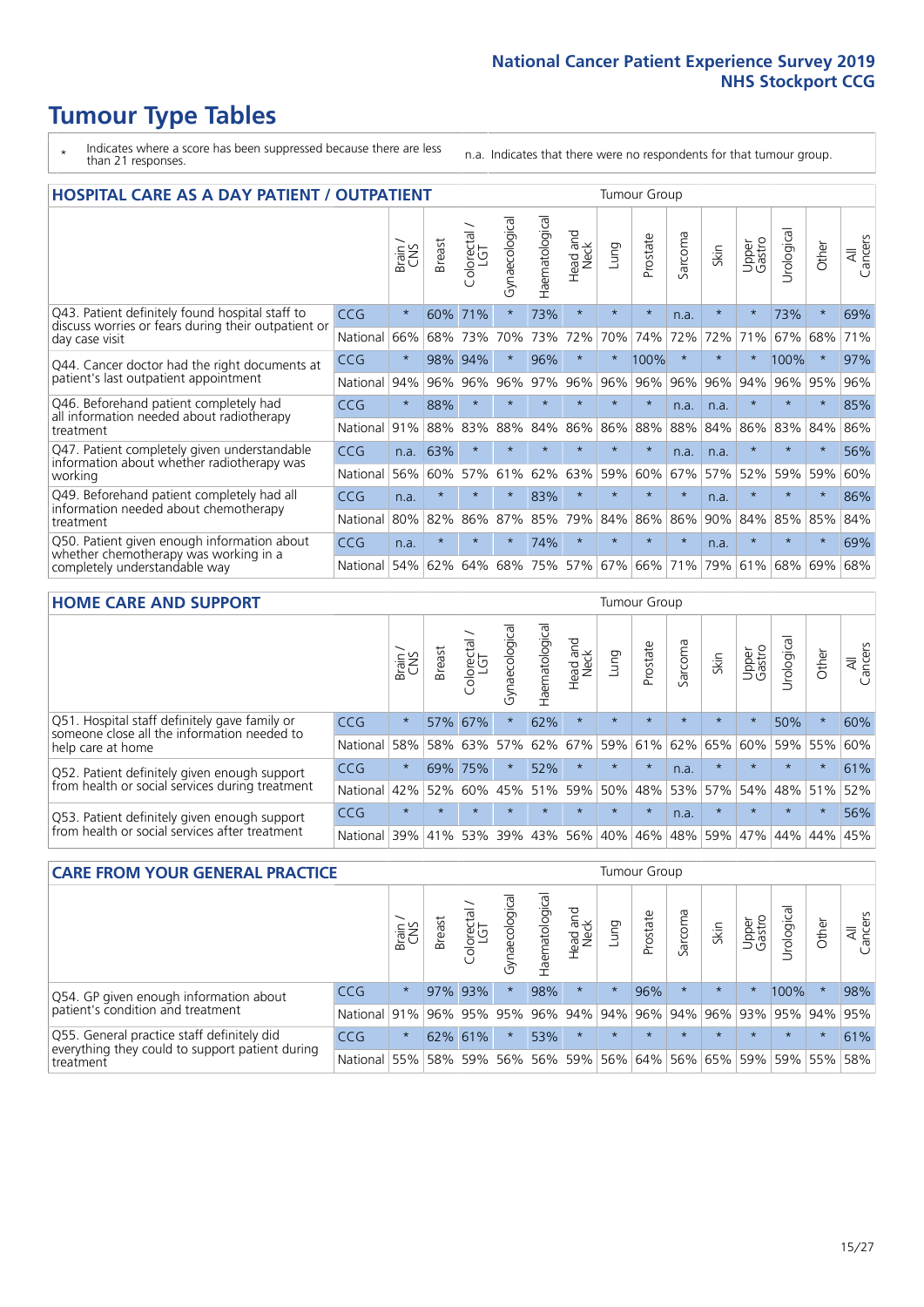# **Tumour Type Tables**

- \* Indicates where a score has been suppressed because there are less than 21 responses.
- n.a. Indicates that there were no respondents for that tumour group.

| <b>HOSPITAL CARE AS A DAY PATIENT / OUTPATIENT</b>                                                                       |            |         |               |                            |                |                |                         |         |          | <b>Tumour Group</b> |         |                 |            |         |                |
|--------------------------------------------------------------------------------------------------------------------------|------------|---------|---------------|----------------------------|----------------|----------------|-------------------------|---------|----------|---------------------|---------|-----------------|------------|---------|----------------|
|                                                                                                                          |            | Brain   | <b>Breast</b> | ╮<br>olorectal<br>LGT<br>Ũ | Gynaecological | Haematological | ead and<br>Neck<br>Head | Lung    | Prostate | Sarcoma             | Skin    | Upper<br>Gastro | Urological | Other   | All<br>Cancers |
| Q43. Patient definitely found hospital staff to<br>discuss worries or fears during their outpatient or<br>day case visit | CCG        | $\star$ | 60%           | 71%                        | $\star$        | 73%            | $\star$                 | $\star$ | $\star$  | n.a.                | $\star$ | $\star$         | 73%        | $\star$ | 69%            |
|                                                                                                                          | National   | 66%     | 68%           | 73%                        | 70%            | 73%            | 72%                     | 70%     | 74%      | 72%                 | 72%     | 71%             | 67%        | 68%     | 71%            |
| Q44. Cancer doctor had the right documents at<br>patient's last outpatient appointment                                   | <b>CCG</b> | $\star$ | 98%           | 94%                        | $^\star$       | 96%            | $\star$                 | $\star$ | 100%     | $\star$             |         |                 | 100%       | $\star$ | 97%            |
|                                                                                                                          | National   | 94%     | 96%           | 96%                        | 96%            | 97%            | 96%                     | 96%     | 96%      | 96%                 | 96%     | 94%             | 96%        | 95%     | 96%            |
| Q46. Beforehand patient completely had                                                                                   | CCG        | $\star$ | 88%           | $\star$                    |                |                | $\star$                 | $\star$ | $\star$  | n.a.                | n.a.    | $\star$         | $\star$    | $\star$ | 85%            |
| all information needed about radiotherapy<br>treatment                                                                   | National   | 91%     | 88%           | 83%                        | 88%            | 84%            | 86%                     | 86%     | 88%      | 88%                 | 84%     | 86%             | 83%        | 84%     | 86%            |
| Q47. Patient completely given understandable<br>information about whether radiotherapy was<br>working                    | <b>CCG</b> | n.a.    | 63%           | $\star$                    | $\star$        |                | $\star$                 | $\star$ | $\star$  | n.a.                | n.a.    | $\star$         | $\star$    | $\star$ | 56%            |
|                                                                                                                          | National   | 56%     | 60%           | 57%                        | 61%            | 62%            | 63%                     | 59%     | 60%      | 67%                 | 57%     | 52%             | 59%        | 59%     | 60%            |
| Q49. Beforehand patient completely had all<br>information needed about chemotherapy<br>treatment                         | CCG        | n.a.    | $\star$       | $\star$                    | $\star$        | 83%            | $\star$                 | $\star$ | $\star$  | $\star$             | n.a.    | $\star$         | $^\star$   | $\ast$  | 86%            |
|                                                                                                                          | National   | 80%     | 82%           | 86%                        | 87%            | 85%            | 79%                     | 84%     | 86%      | 86%                 | 90%     | 84%             | 85%        | 85%     | 84%            |
| Q50. Patient given enough information about<br>whether chemotherapy was working in a<br>completely understandable way    | <b>CCG</b> | n.a.    | $\star$       |                            |                | 74%            | $\star$                 | $\star$ | $\star$  | $\star$             | n.a.    | $\star$         |            | 头       | 69%            |
|                                                                                                                          | National   | 54%     | 62%           | 64%                        | 68%            | 75%            |                         | 57% 67% | 66%      | 71%                 | 79%     | 61%             | 68%        | 69%     | 68%            |

#### **HOME CARE AND SUPPORT** Tumour Group

|                                                                                                                   |            | Brain   | <b>Breast</b> | Colorectal<br>LGT | ᢛ<br>Gynaecologic | Haematological | ad and<br>Neck<br>Head | <b>Lung</b> | Prostate | Sarcoma | Skin    | Upper<br>Gastro | Urological | Other   | All<br>Cancers |
|-------------------------------------------------------------------------------------------------------------------|------------|---------|---------------|-------------------|-------------------|----------------|------------------------|-------------|----------|---------|---------|-----------------|------------|---------|----------------|
| Q51. Hospital staff definitely gave family or<br>someone close all the information needed to<br>help care at home | <b>CCG</b> | $\star$ |               | 57% 67%           | $\star$           | 62%            | $\star$                | $\star$     | $\star$  | $\star$ | $\star$ | $\star$         | 50%        | $\star$ | 60%            |
|                                                                                                                   | National   | 58%     | 58%           | 63%               | 57%               | 62%            | 67%                    | 59%         | 61%      |         | 62% 65% | 60%             | 59%        | 55%     | 60%            |
| Q52. Patient definitely given enough support<br>from health or social services during treatment                   | <b>CCG</b> | $\star$ |               | 69% 75%           | $\star$           | 52%            | $\star$                | $\star$     | $\star$  | n.a.    | $\star$ | $\star$         | $\star$    | $\star$ | 61%            |
|                                                                                                                   | National   | 42%     | 52%           | 60%               |                   | 45% 51%        | 59%                    | 50%         | 48%      |         | 53% 57% | 54%             | 48% 51%    |         | 52%            |
| Q53. Patient definitely given enough support<br>from health or social services after treatment                    | <b>CCG</b> | $\star$ |               | $\star$           | $\star$           | $\star$        | $\star$                | $\star$     | $\star$  | n.a.    | $\star$ | $\star$         | $\star$    | $\star$ | 56%            |
|                                                                                                                   | National   | 39%     |               | 41% 53%           | 39%               | 43%            | 56%                    | 40%         | 46%      |         | 48% 59% | 47%             | 44%        | 44%     | 45%            |

| <b>CARE FROM YOUR GENERAL PRACTICE</b>                                                                     |              |         |               |                   |                |                | <b>Tumour Group</b>         |         |          |         |                         |                 |                |         |                |  |
|------------------------------------------------------------------------------------------------------------|--------------|---------|---------------|-------------------|----------------|----------------|-----------------------------|---------|----------|---------|-------------------------|-----------------|----------------|---------|----------------|--|
|                                                                                                            |              | Brain,  | <b>Breast</b> | Colorectal<br>LGT | Gynaecological | Haematological | Head and<br>Neck            | Lung    | Prostate | Sarcoma | Skin                    | Upper<br>Gastro | Φ<br>Urologica | Other   | All<br>Cancers |  |
| Q54. GP given enough information about<br>patient's condition and treatment                                | <b>CCG</b>   | $\star$ |               | 97% 93%           |                | 98%            | $\star$                     | $\star$ | 96%      | $\star$ | $\star$                 | $\star$         | 100%           | $\ast$  | 98%            |  |
|                                                                                                            | National 91% |         |               |                   | 96% 95% 95%    |                | 96% 94% 94% 96%             |         |          |         | 94% 96% 93% 95% 94% 95% |                 |                |         |                |  |
| Q55. General practice staff definitely did<br>everything they could to support patient during<br>treatment | <b>CCG</b>   | $\star$ |               | 62% 61%           |                | 53%            | $\star$                     | $\star$ | $\star$  | $\star$ | $\star$                 | $\star$         | $\star$        | $\star$ | 61%            |  |
|                                                                                                            | National 55% |         |               | 58% 59%           | 56%            |                | 56% 59% 56% 64% 56% 65% 59% |         |          |         |                         |                 |                | 59% 55% | 58%            |  |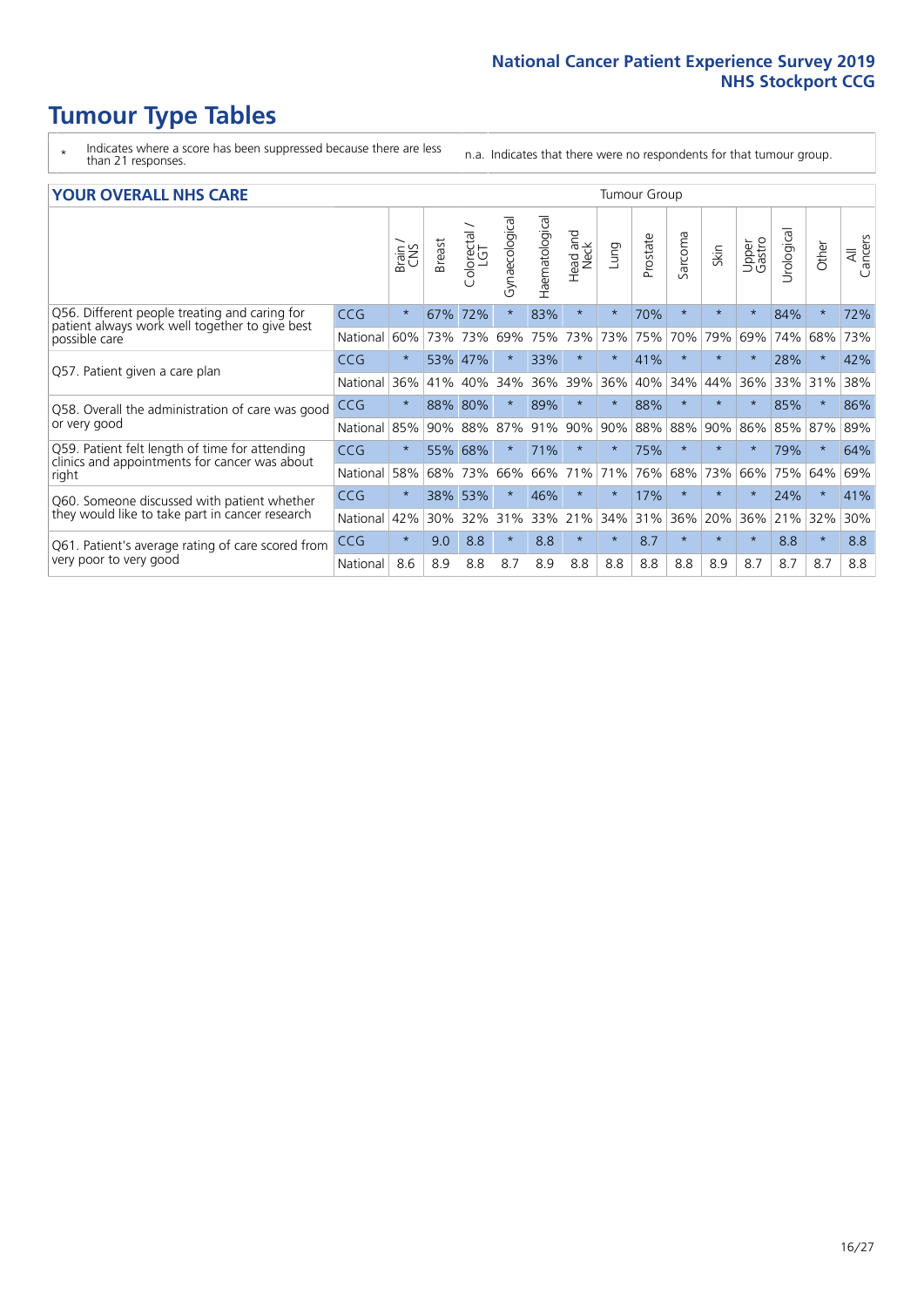# **Tumour Type Tables**

- \* Indicates where a score has been suppressed because there are less than 21 responses.
- n.a. Indicates that there were no respondents for that tumour group.

#### **YOUR OVERALL NHS CARE** THE TWO CONTROLLER THE THE THROUP CHANGE THE TUMOUR GROUP

|            | Brain   | <b>Breast</b> | Colorectal | Gynaecological | Haematological | aad and<br>Neck<br>Head | Lung     | Prostate | Sarcoma | Skin    | Upper<br>Gastro | $\overline{c}$<br>Urologic | Other   | All<br>Cancers |  |  |  |  |  |  |  |
|------------|---------|---------------|------------|----------------|----------------|-------------------------|----------|----------|---------|---------|-----------------|----------------------------|---------|----------------|--|--|--|--|--|--|--|
| <b>CCG</b> | $\star$ | 67%           | 72%        | $\star$        | 83%            | $\star$                 | $\star$  | 70%      | $\star$ | $\star$ | $\star$         | 84%                        | $\ast$  | 72%            |  |  |  |  |  |  |  |
| National   | 60%     |               |            | 69%            | 75%            | 73%                     | 73%      | 75%      | 70%     | 79%     | 69%             | 74%                        | 68%     | 73%            |  |  |  |  |  |  |  |
| <b>CCG</b> | $\star$ | 53%           | 47%        |                | 33%            | $\star$                 | $\star$  | 41%      | $\star$ | $\star$ |                 | 28%                        | $\ast$  | 42%            |  |  |  |  |  |  |  |
| National   | 36%     | 41%           | 40%        | 34%            | 36%            | 39%                     | 36%      | 40%      | 34%     | 44%     | 36%             | 33%                        | 31%     | 38%            |  |  |  |  |  |  |  |
| <b>CCG</b> | $\star$ | 88%           | 80%        |                | 89%            | $\star$                 | $\star$  | 88%      | $\star$ | $\star$ |                 | 85%                        | $\star$ | 86%            |  |  |  |  |  |  |  |
| National   | 85%     | 90%           | 88%        | 87%            | 91%            | 90%                     | 90%      |          | 88%     | 90%     | 86%             | 85%                        |         | 89%            |  |  |  |  |  |  |  |
| <b>CCG</b> | $\star$ | 55%           | 68%        | $\star$        | 71%            | $\star$                 | $\star$  | 75%      | $\star$ | $\star$ | $\star$         | 79%                        | $\ast$  | 64%            |  |  |  |  |  |  |  |
| National   | 58%     | 68%           | 73%        | 66%            | 66%            | 71%                     | 71%      | 76%      | 68%     | 73%     | 66%             | 75%                        | 64%     | 69%            |  |  |  |  |  |  |  |
| <b>CCG</b> | $\star$ | 38%           | 53%        | $\star$        | 46%            | $\star$                 | $\star$  | 17%      | $\star$ | $\star$ |                 | 24%                        | $\star$ | 41%            |  |  |  |  |  |  |  |
| National   | 42%     | 30%           | 32%        | 31%            | 33%            | 21%                     | 34%      | 31%      | 36%     | 20%     | 36%             |                            | 32%     | 30%            |  |  |  |  |  |  |  |
| <b>CCG</b> | $\star$ | 9.0           | 8.8        | $\star$        | 8.8            | $\star$                 | $^\star$ | 8.7      | $\star$ | $\star$ | $\star$         | 8.8                        | $\star$ | 8.8            |  |  |  |  |  |  |  |
| National   | 8.6     | 8.9           | 8.8        | 8.7            | 8.9            | 8.8                     | 8.8      | 8.8      | 8.8     | 8.9     | 8.7             | 8.7                        | 8.7     | 8.8            |  |  |  |  |  |  |  |
|            |         |               |            | 73% 73%        |                |                         |          |          | 88%     |         |                 |                            | 21%     | 87%            |  |  |  |  |  |  |  |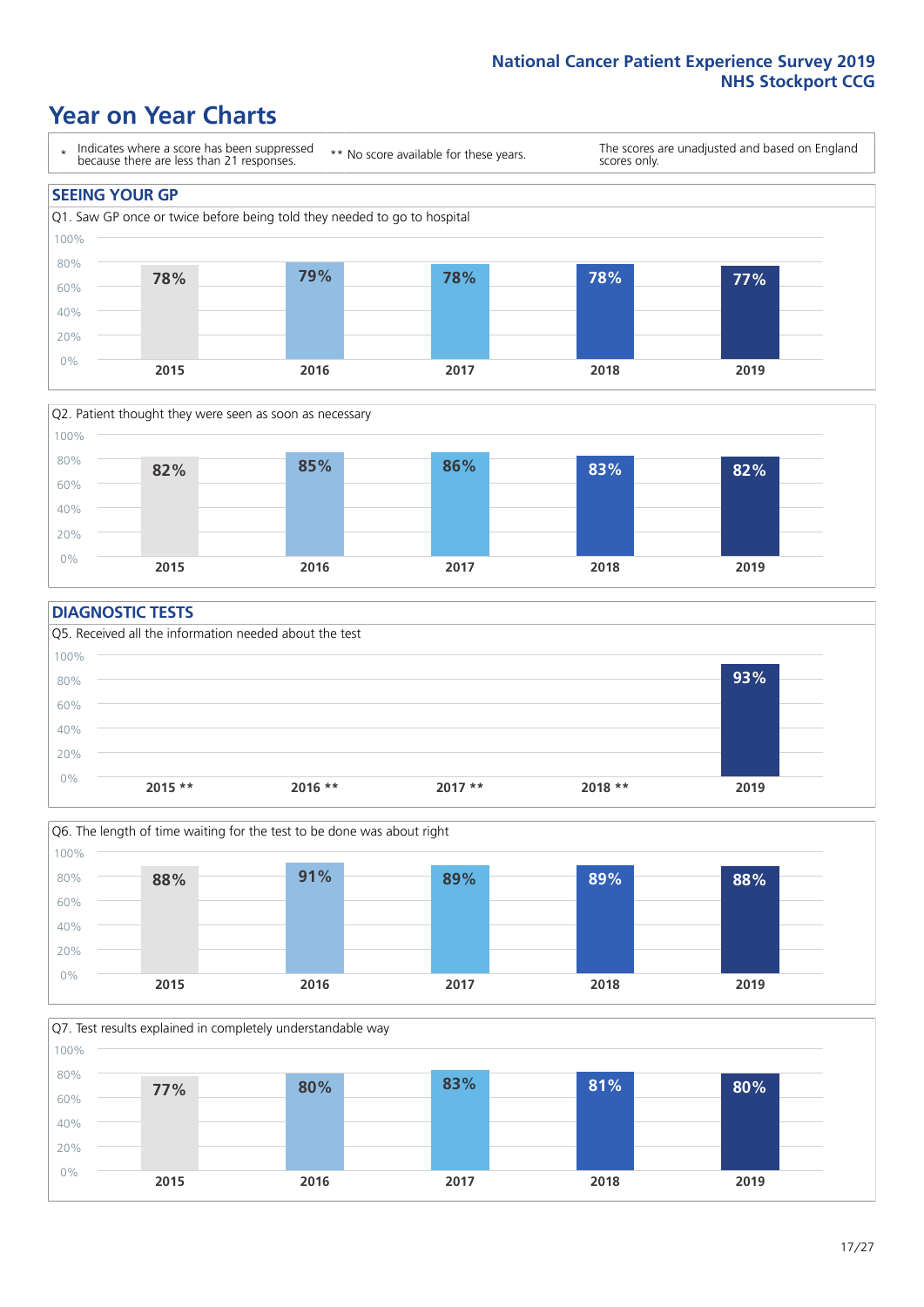### **Year on Year Charts**





#### **DIAGNOSTIC TESTS**





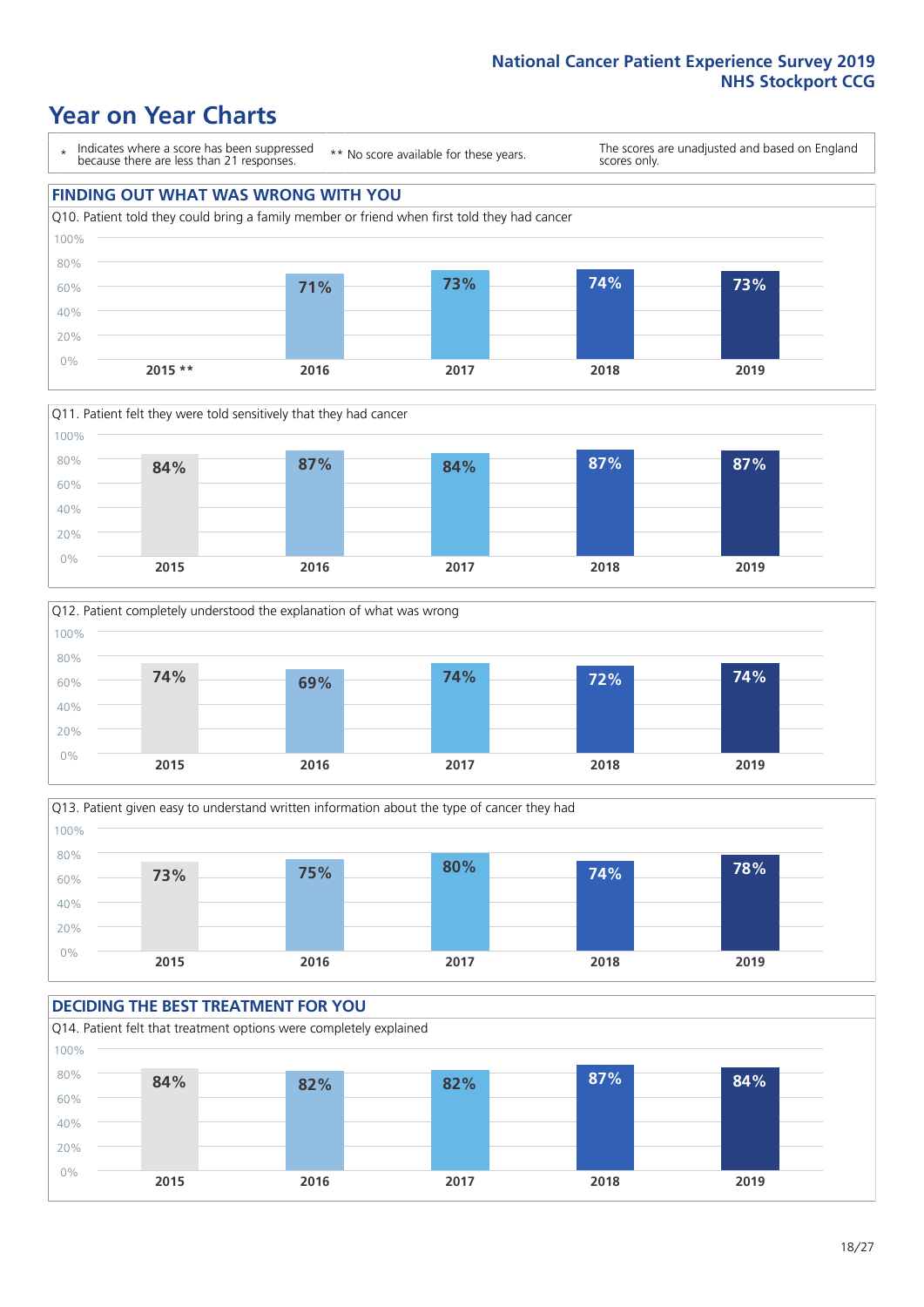### **Year on Year Charts**

\* Indicates where a score has been suppressed because there are less than 21 responses.

\*\* No score available for these years.

The scores are unadjusted and based on England scores only.









#### **DECIDING THE BEST TREATMENT FOR YOU** Q14. Patient felt that treatment options were completely explained 60% 80% 100% **84% 82% 82% 87% 84%**

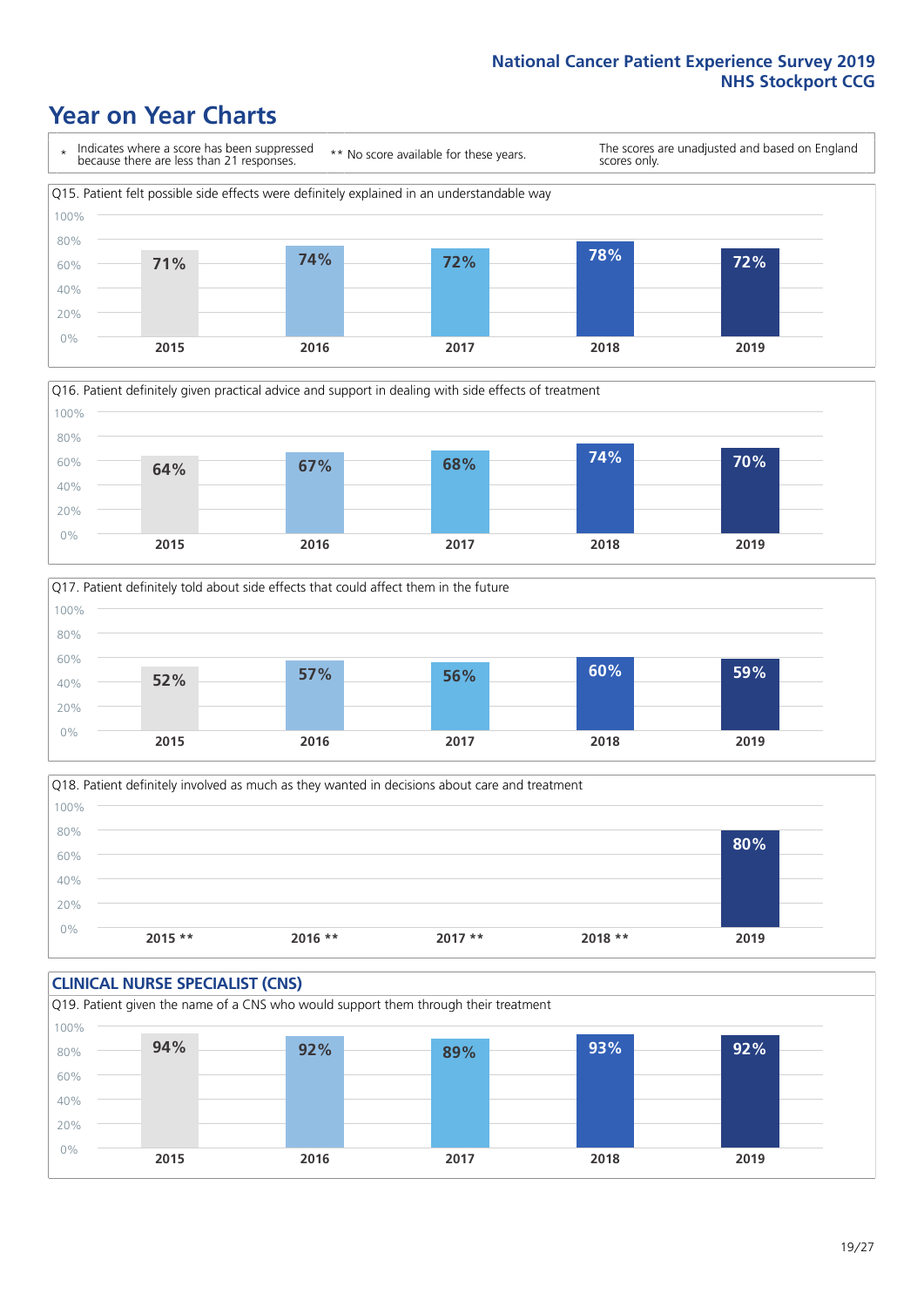### **Year on Year Charts**







Q18. Patient definitely involved as much as they wanted in decisions about care and treatment  $0%$ 20% 40% 60% 80% 100% **2015 \*\* 2016 \*\* 2017 \*\* 2018 \*\* 2019 80%**

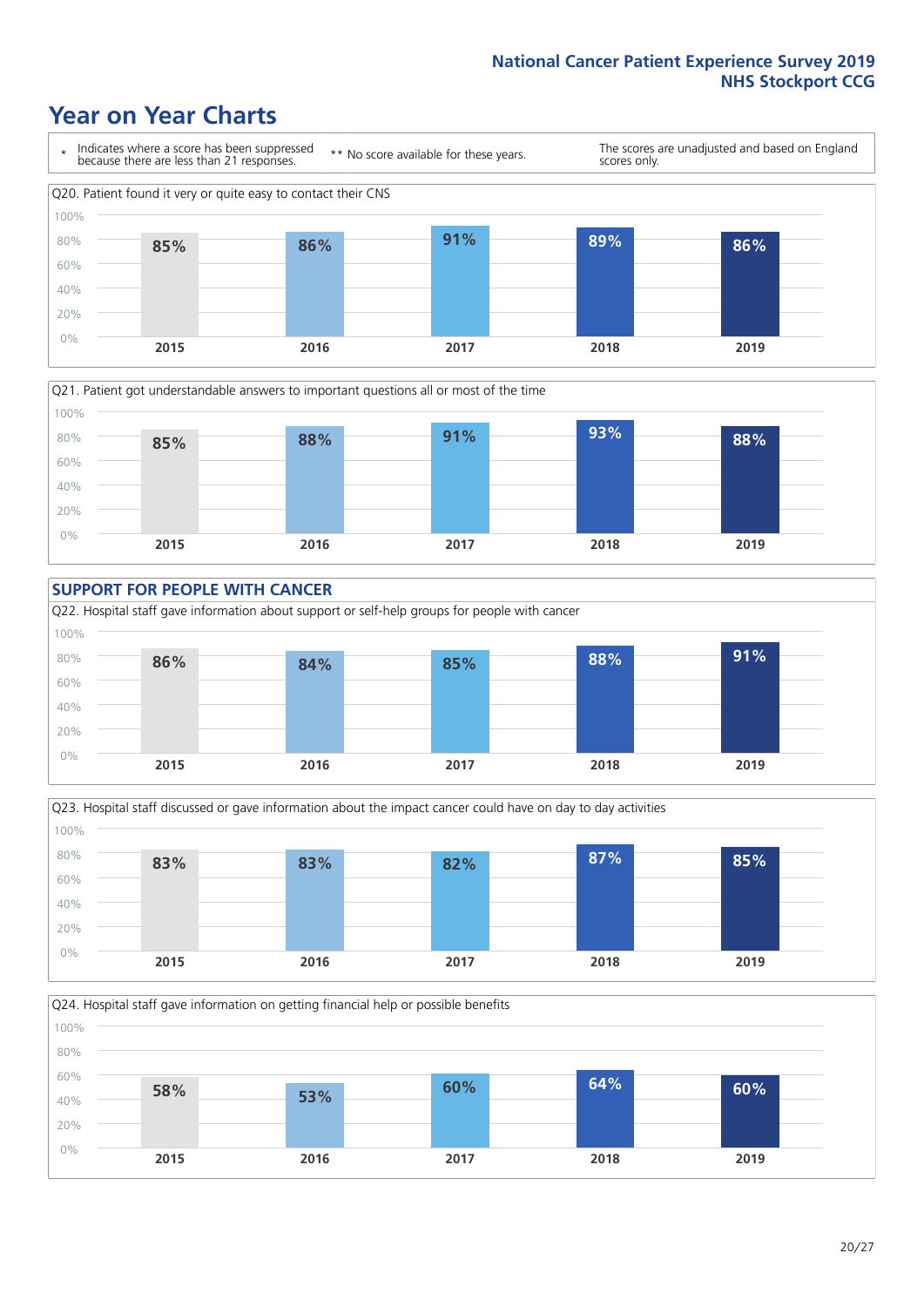### **Year on Year Charts**









Q24. Hospital staff gave information on getting financial help or possible benefits 0% 20% 40% 60% 80% 100% **2015 2016 2017 2018 2019 58% 53% 60% 64% 60%**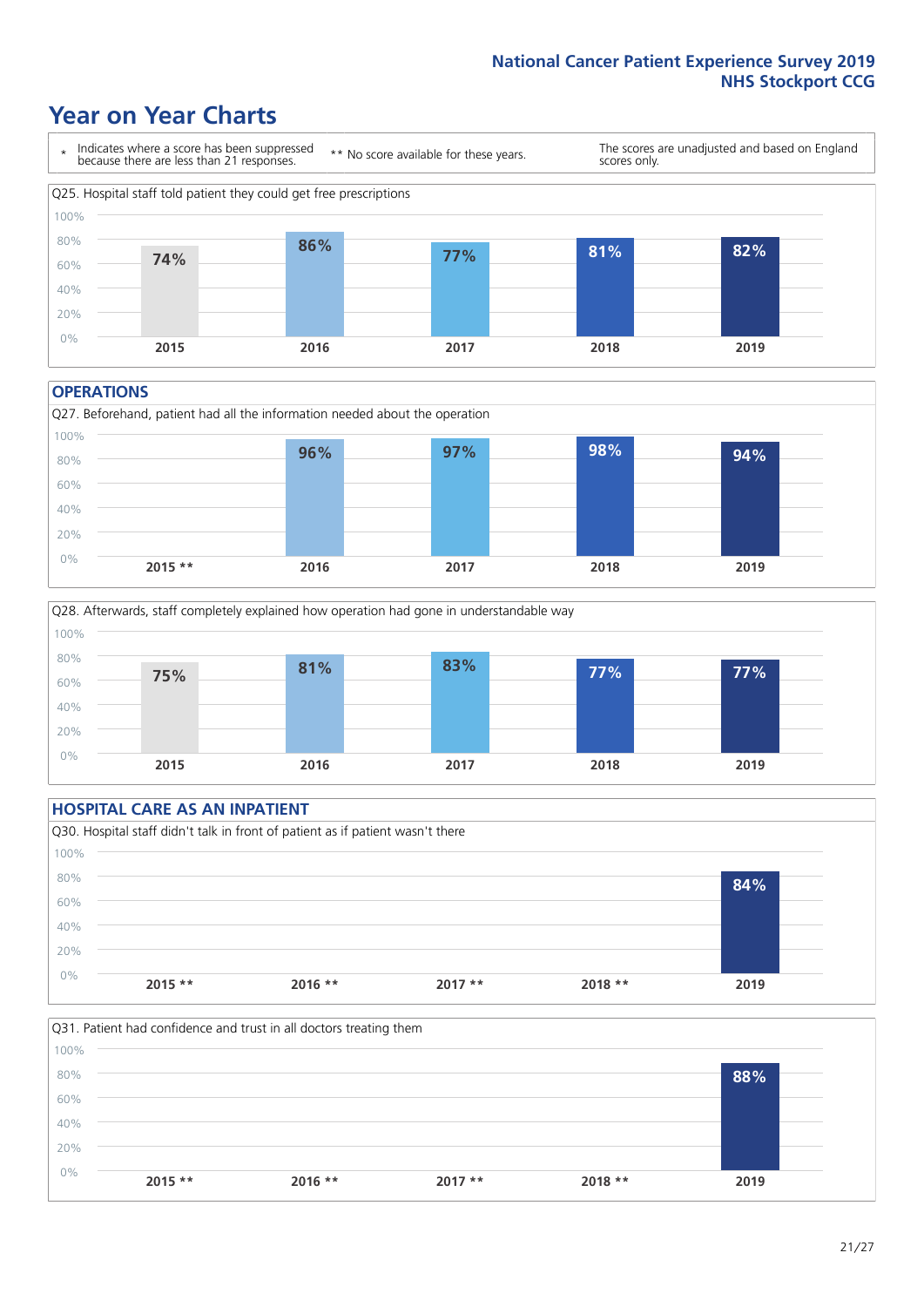### **Year on Year Charts**



#### **OPERATIONS**





#### **HOSPITAL CARE AS AN INPATIENT** Q30. Hospital staff didn't talk in front of patient as if patient wasn't there 0% 20% 40% 60% 80% 100% **2015 \*\* 2016 \*\* 2017 \*\* 2018 \*\* 2019 84%**

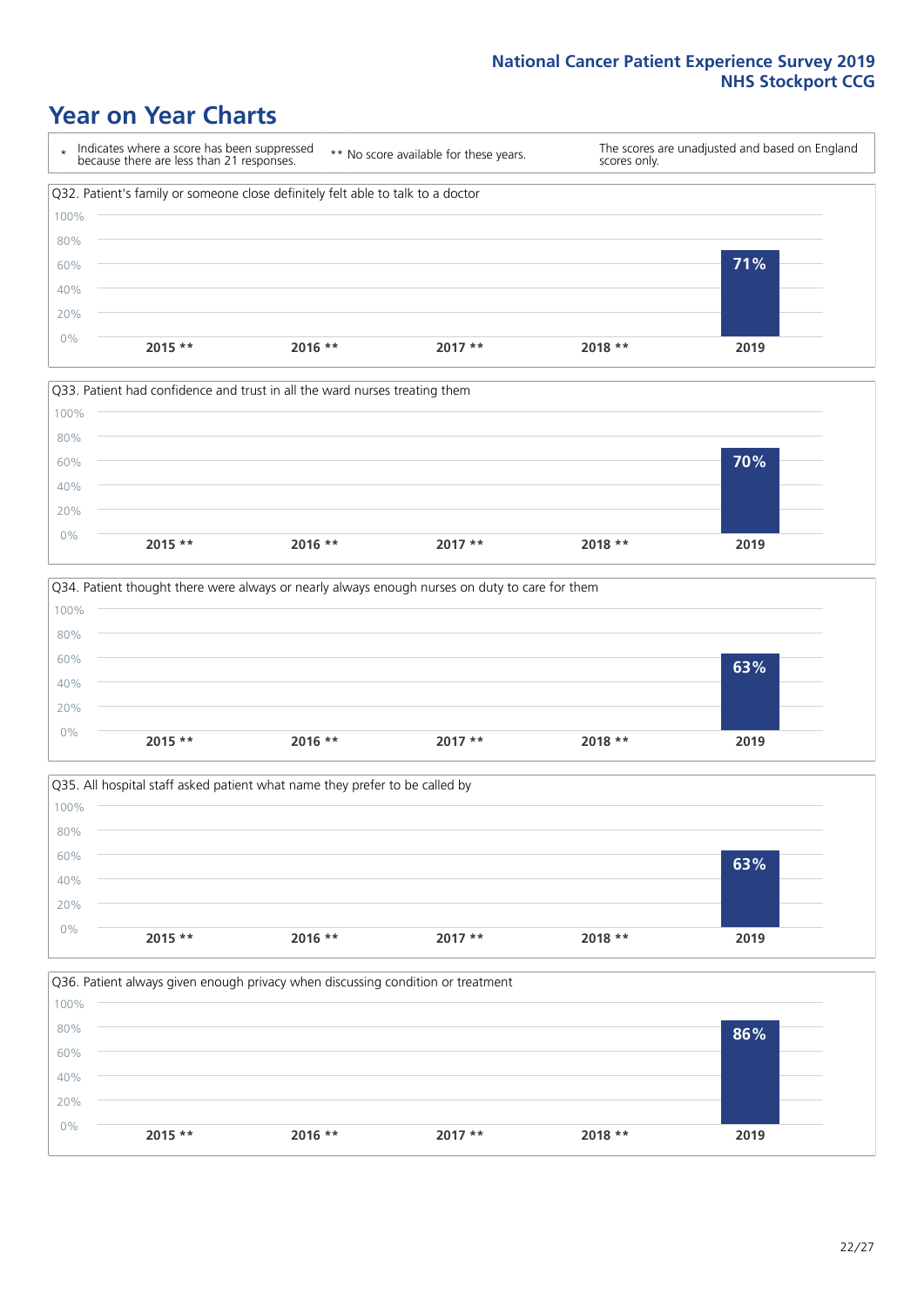### **Year on Year Charts**









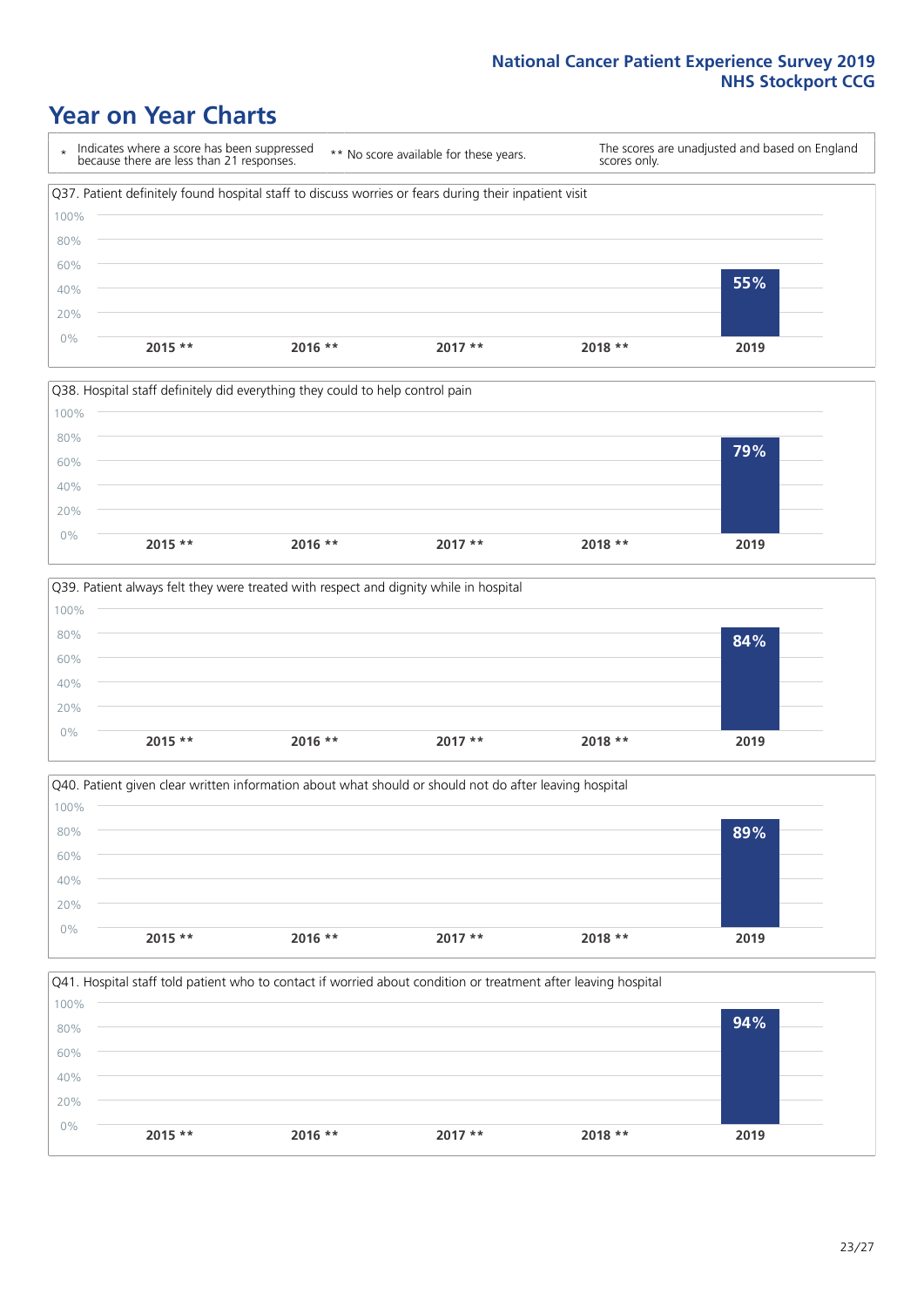### **Year on Year Charts**

\* Indicates where a score has been suppressed because there are less than 21 responses. \*\* No score available for these years. The scores are unadjusted and based on England scores only. Q37. Patient definitely found hospital staff to discuss worries or fears during their inpatient visit 0% 20% 40% 60% 80% 100% **2015 \*\* 2016 \*\* 2017 \*\* 2018 \*\* 2019 55%**







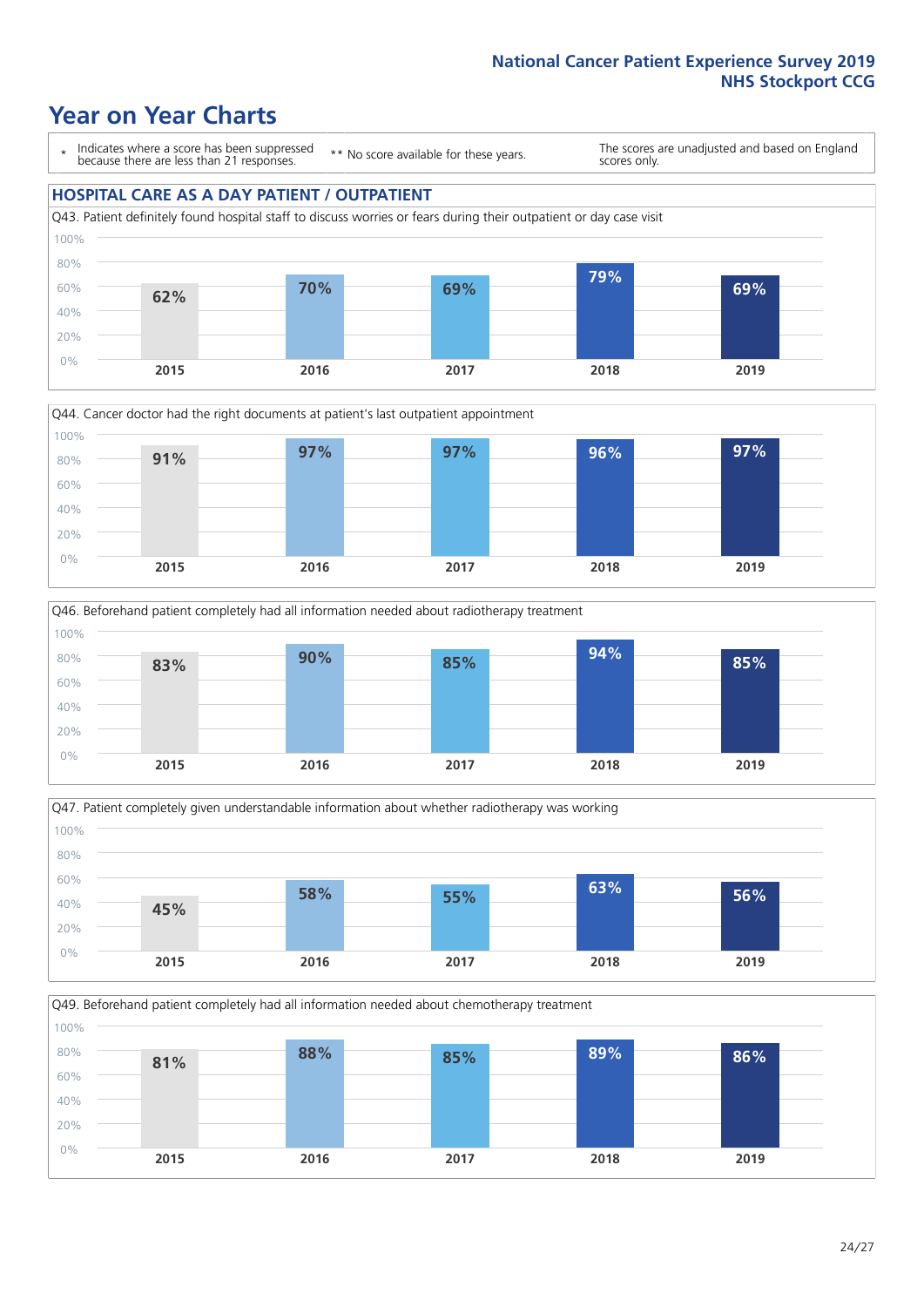### **Year on Year Charts**

\* Indicates where a score has been suppressed because there are less than 21 responses.

\*\* No score available for these years.

The scores are unadjusted and based on England scores only.

#### **HOSPITAL CARE AS A DAY PATIENT / OUTPATIENT**









Q49. Beforehand patient completely had all information needed about chemotherapy treatment 100%

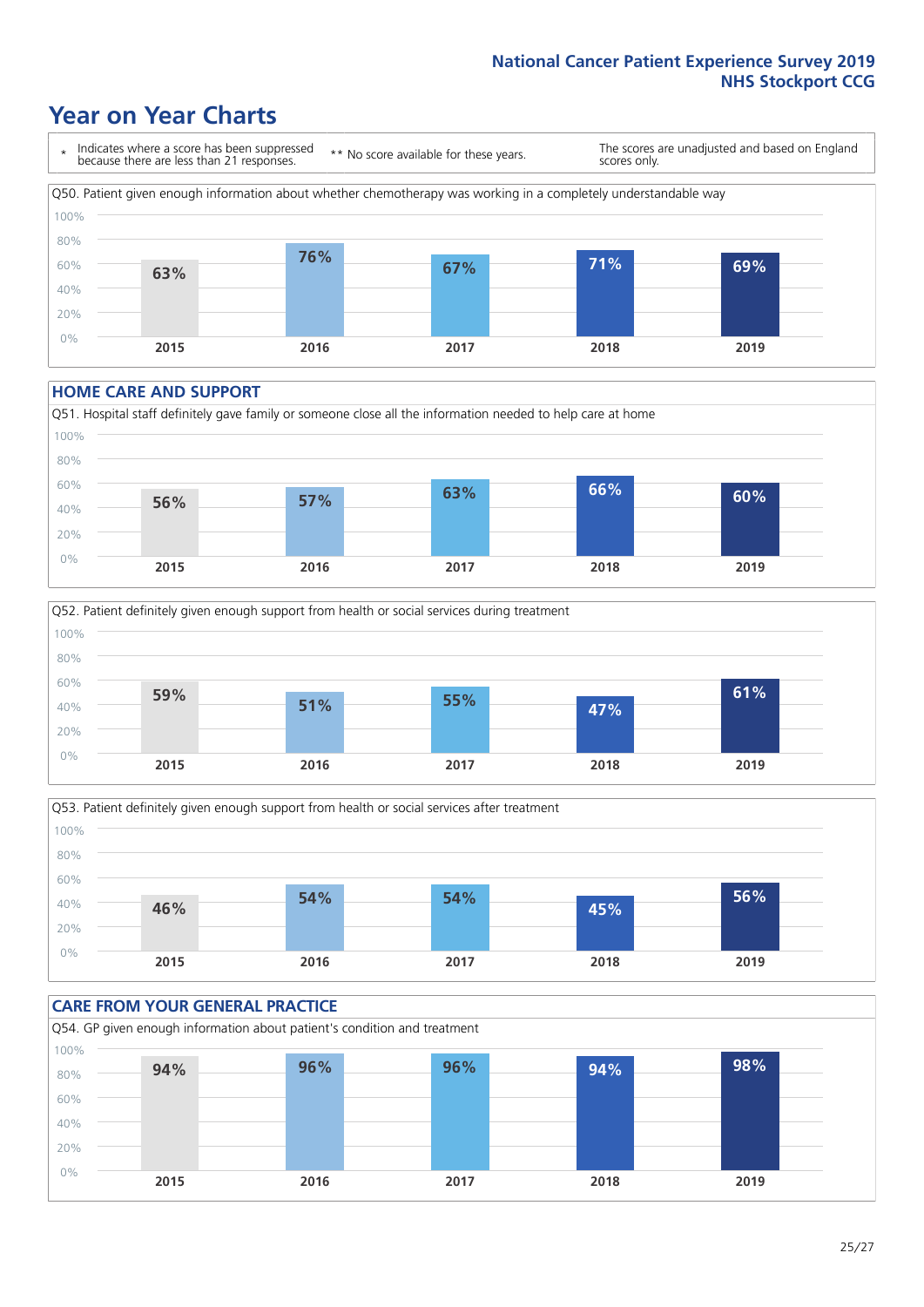### **Year on Year Charts**

\* Indicates where a score has been suppressed because there are less than 21 responses. \*\* No score available for these years. The scores are unadjusted and based on England scores only. Q50. Patient given enough information about whether chemotherapy was working in a completely understandable way 0% 20% 40% 60% 80% 100% **2015 2016 2017 2018 2019 63% 76% 67% 71% 69%**

#### **HOME CARE AND SUPPORT**







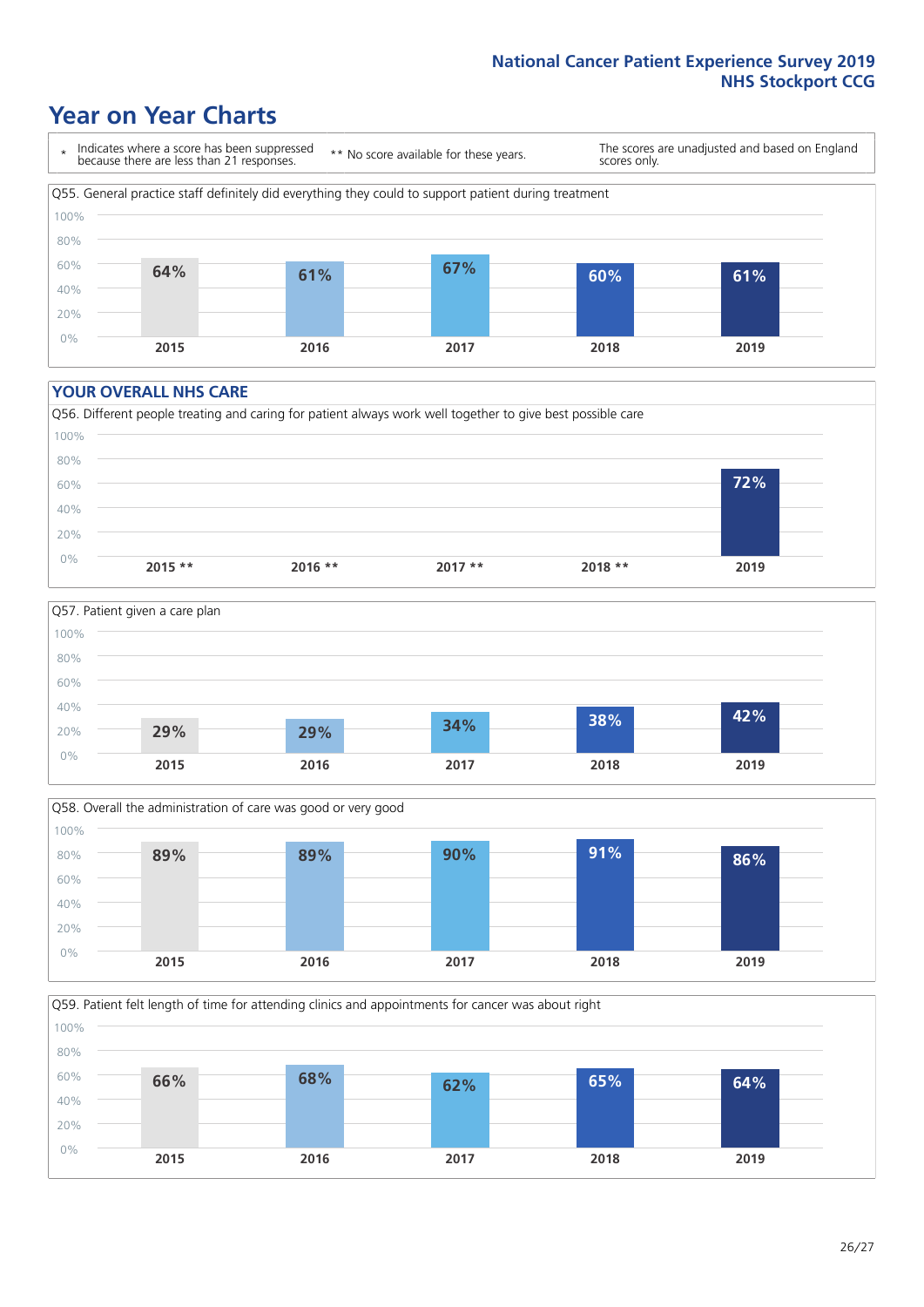### **Year on Year Charts**

\* Indicates where a score has been suppressed because there are less than 21 responses.

\*\* No score available for these years.

The scores are unadjusted and based on England scores only.



#### **YOUR OVERALL NHS CARE**







Q59. Patient felt length of time for attending clinics and appointments for cancer was about right